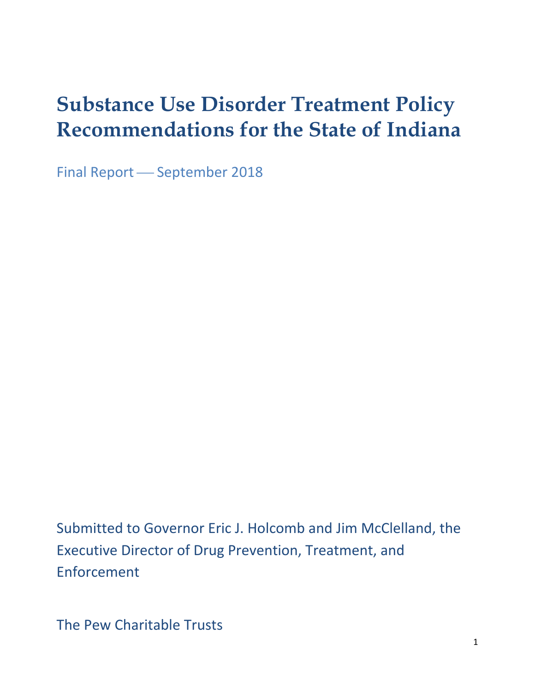# **Substance Use Disorder Treatment Policy Recommendations for the State of Indiana**

Final Report - September 2018

Submitted to Governor Eric J. Holcomb and Jim McClelland, the Executive Director of Drug Prevention, Treatment, and Enforcement

The Pew Charitable Trusts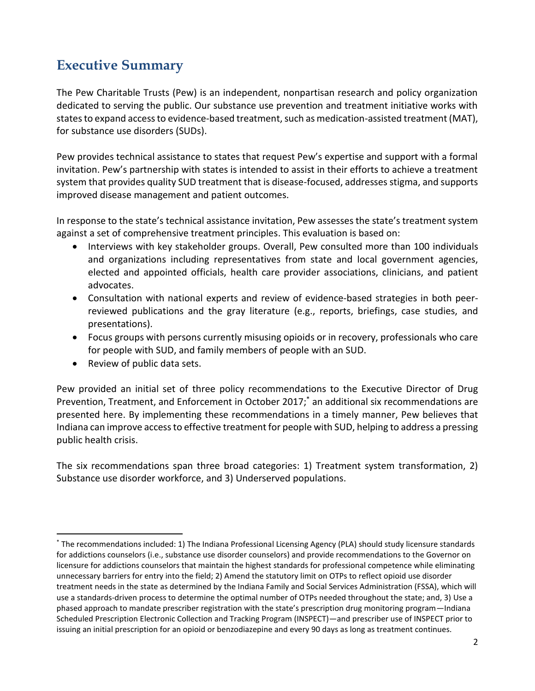# **Executive Summary**

The Pew Charitable Trusts (Pew) is an independent, nonpartisan research and policy organization dedicated to serving the public. Our substance use prevention and treatment initiative works with states to expand access to evidence-based treatment, such as medication-assisted treatment (MAT), for substance use disorders (SUDs).

Pew provides technical assistance to states that request Pew's expertise and support with a formal invitation. Pew's partnership with states is intended to assist in their efforts to achieve a treatment system that provides quality SUD treatment that is disease-focused, addresses stigma, and supports improved disease management and patient outcomes.

In response to the state's technical assistance invitation, Pew assesses the state's treatment system against a set of comprehensive treatment principles. This evaluation is based on:

- Interviews with key stakeholder groups. Overall, Pew consulted more than 100 individuals and organizations including representatives from state and local government agencies, elected and appointed officials, health care provider associations, clinicians, and patient advocates.
- Consultation with national experts and review of evidence-based strategies in both peerreviewed publications and the gray literature (e.g., reports, briefings, case studies, and presentations).
- Focus groups with persons currently misusing opioids or in recovery, professionals who care for people with SUD, and family members of people with an SUD.
- Review of public data sets.

 $\overline{a}$ 

Pew provided an initial set of three policy recommendations to the Executive Director of Drug Prevention, Treatment, and Enforcement in October 2017; \* an additional six recommendations are presented here. By implementing these recommendations in a timely manner, Pew believes that Indiana can improve access to effective treatment for people with SUD, helping to address a pressing public health crisis.

The six recommendations span three broad categories: 1) Treatment system transformation, 2) Substance use disorder workforce, and 3) Underserved populations.

<sup>\*</sup> The recommendations included: 1) The Indiana Professional Licensing Agency (PLA) should study licensure standards for addictions counselors (i.e., substance use disorder counselors) and provide recommendations to the Governor on licensure for addictions counselors that maintain the highest standards for professional competence while eliminating unnecessary barriers for entry into the field; 2) Amend the statutory limit on OTPs to reflect opioid use disorder treatment needs in the state as determined by the Indiana Family and Social Services Administration (FSSA), which will use a standards-driven process to determine the optimal number of OTPs needed throughout the state; and, 3) Use a phased approach to mandate prescriber registration with the state's prescription drug monitoring program—Indiana Scheduled Prescription Electronic Collection and Tracking Program (INSPECT)—and prescriber use of INSPECT prior to issuing an initial prescription for an opioid or benzodiazepine and every 90 days as long as treatment continues.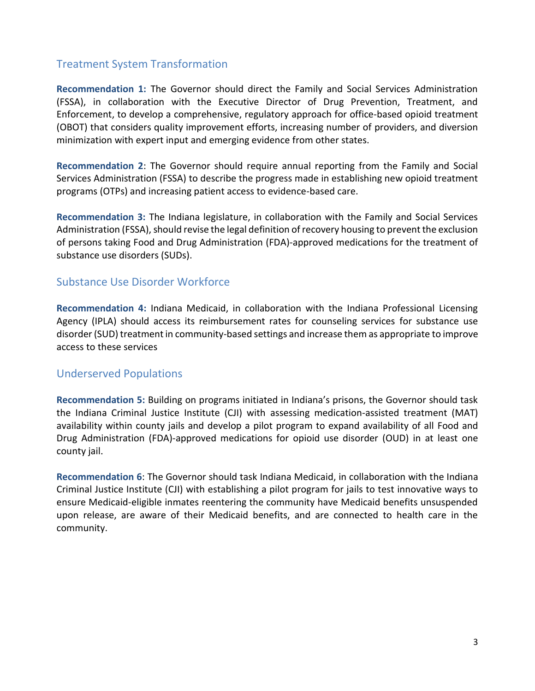### Treatment System Transformation

**Recommendation 1:** The Governor should direct the Family and Social Services Administration (FSSA), in collaboration with the Executive Director of Drug Prevention, Treatment, and Enforcement, to develop a comprehensive, regulatory approach for office-based opioid treatment (OBOT) that considers quality improvement efforts, increasing number of providers, and diversion minimization with expert input and emerging evidence from other states.

**Recommendation 2**: The Governor should require annual reporting from the Family and Social Services Administration (FSSA) to describe the progress made in establishing new opioid treatment programs (OTPs) and increasing patient access to evidence-based care.

**Recommendation 3:** The Indiana legislature, in collaboration with the Family and Social Services Administration (FSSA), should revise the legal definition of recovery housing to prevent the exclusion of persons taking Food and Drug Administration (FDA)-approved medications for the treatment of substance use disorders (SUDs).

### Substance Use Disorder Workforce

**Recommendation 4:** Indiana Medicaid, in collaboration with the Indiana Professional Licensing Agency (IPLA) should access its reimbursement rates for counseling services for substance use disorder (SUD) treatment in community-based settings and increase them as appropriate to improve access to these services

### Underserved Populations

**Recommendation 5:** Building on programs initiated in Indiana's prisons, the Governor should task the Indiana Criminal Justice Institute (CJI) with assessing medication-assisted treatment (MAT) availability within county jails and develop a pilot program to expand availability of all Food and Drug Administration (FDA)-approved medications for opioid use disorder (OUD) in at least one county jail.

**Recommendation 6**: The Governor should task Indiana Medicaid, in collaboration with the Indiana Criminal Justice Institute (CJI) with establishing a pilot program for jails to test innovative ways to ensure Medicaid-eligible inmates reentering the community have Medicaid benefits unsuspended upon release, are aware of their Medicaid benefits, and are connected to health care in the community.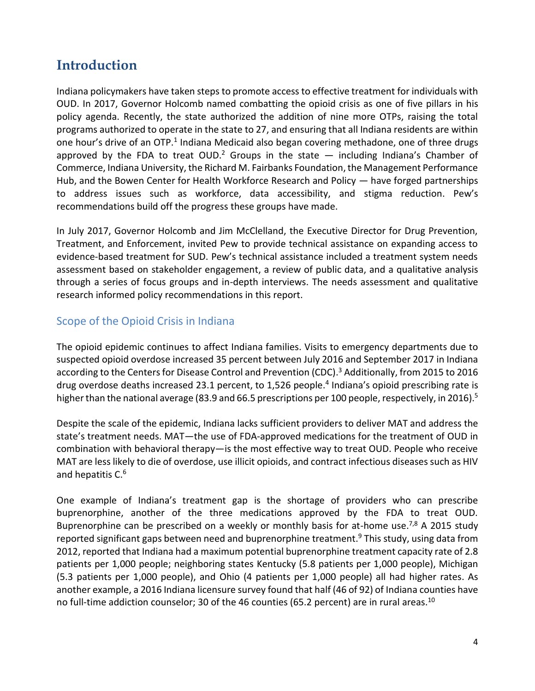# **Introduction**

Indiana policymakers have taken stepsto promote access to effective treatment for individuals with OUD. In 2017, Governor Holcomb named combatting the opioid crisis as one of five pillars in his policy agenda. Recently, the state authorized the addition of nine more OTPs, raising the total programs authorized to operate in the state to 27, and ensuring that all Indiana residents are within one hour's drive of an OTP.<sup>1</sup> Indiana Medicaid also began covering methadone, one of three drugs approved by the FDA to treat OUD.<sup>2</sup> Groups in the state  $-$  including Indiana's Chamber of Commerce, Indiana University, the Richard M. Fairbanks Foundation, the Management Performance Hub, and the Bowen Center for Health Workforce Research and Policy — have forged partnerships to address issues such as workforce, data accessibility, and stigma reduction. Pew's recommendations build off the progress these groups have made.

In July 2017, Governor Holcomb and Jim McClelland, the Executive Director for Drug Prevention, Treatment, and Enforcement, invited Pew to provide technical assistance on expanding access to evidence-based treatment for SUD. Pew's technical assistance included a treatment system needs assessment based on stakeholder engagement, a review of public data, and a qualitative analysis through a series of focus groups and in-depth interviews. The needs assessment and qualitative research informed policy recommendations in this report.

# Scope of the Opioid Crisis in Indiana

The opioid epidemic continues to affect Indiana families. Visits to emergency departments due to suspected opioid overdose increased 35 percent between July 2016 and September 2017 in Indiana according to the Centers for Disease Control and Prevention (CDC). <sup>3</sup> Additionally, from 2015 to 2016 drug overdose deaths increased 23.1 percent, to 1,526 people. 4 Indiana's opioid prescribing rate is higher than the national average (83.9 and 66.5 prescriptions per 100 people, respectively, in 2016). 5

Despite the scale of the epidemic, Indiana lacks sufficient providers to deliver MAT and address the state's treatment needs. MAT—the use of FDA-approved medications for the treatment of OUD in combination with behavioral therapy—is the most effective way to treat OUD. People who receive MAT are less likely to die of overdose, use illicit opioids, and contract infectious diseases such as HIV and hepatitis C. 6

One example of Indiana's treatment gap is the shortage of providers who can prescribe buprenorphine, another of the three medications approved by the FDA to treat OUD. Buprenorphine can be prescribed on a weekly or monthly basis for at-home use.<sup>7,8</sup> A 2015 study reported significant gaps between need and buprenorphine treatment.<sup>9</sup> This study, using data from 2012, reported that Indiana had a maximum potential buprenorphine treatment capacity rate of 2.8 patients per 1,000 people; neighboring states Kentucky (5.8 patients per 1,000 people), Michigan (5.3 patients per 1,000 people), and Ohio (4 patients per 1,000 people) all had higher rates. As another example, a 2016 Indiana licensure survey found that half (46 of 92) of Indiana counties have no full-time addiction counselor; 30 of the 46 counties (65.2 percent) are in rural areas.<sup>10</sup>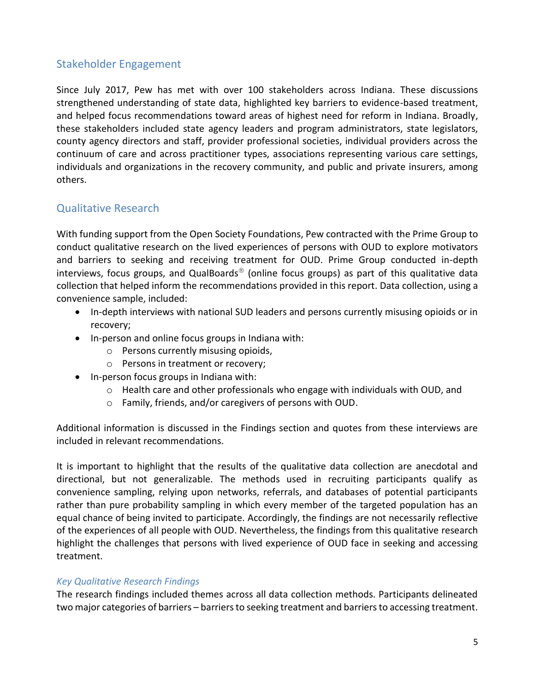# Stakeholder Engagement

Since July 2017, Pew has met with over 100 stakeholders across Indiana. These discussions strengthened understanding of state data, highlighted key barriers to evidence-based treatment, and helped focus recommendations toward areas of highest need for reform in Indiana. Broadly, these stakeholders included state agency leaders and program administrators, state legislators, county agency directors and staff, provider professional societies, individual providers across the continuum of care and across practitioner types, associations representing various care settings, individuals and organizations in the recovery community, and public and private insurers, among others.

# Qualitative Research

With funding support from the Open Society Foundations, Pew contracted with the Prime Group to conduct qualitative research on the lived experiences of persons with OUD to explore motivators and barriers to seeking and receiving treatment for OUD. Prime Group conducted in-depth interviews, focus groups, and QualBoards<sup>®</sup> (online focus groups) as part of this qualitative data collection that helped inform the recommendations provided in this report. Data collection, using a convenience sample, included:

- In-depth interviews with national SUD leaders and persons currently misusing opioids or in recovery;
- In-person and online focus groups in Indiana with:
	- o Persons currently misusing opioids,
	- o Persons in treatment or recovery;
- In-person focus groups in Indiana with:
	- $\circ$  Health care and other professionals who engage with individuals with OUD, and
	- o Family, friends, and/or caregivers of persons with OUD.

Additional information is discussed in the Findings section and quotes from these interviews are included in relevant recommendations.

It is important to highlight that the results of the qualitative data collection are anecdotal and directional, but not generalizable. The methods used in recruiting participants qualify as convenience sampling, relying upon networks, referrals, and databases of potential participants rather than pure probability sampling in which every member of the targeted population has an equal chance of being invited to participate. Accordingly, the findings are not necessarily reflective of the experiences of all people with OUD. Nevertheless, the findings from this qualitative research highlight the challenges that persons with lived experience of OUD face in seeking and accessing treatment.

#### *Key Qualitative Research Findings*

The research findings included themes across all data collection methods. Participants delineated two major categories of barriers – barriers to seeking treatment and barriers to accessing treatment.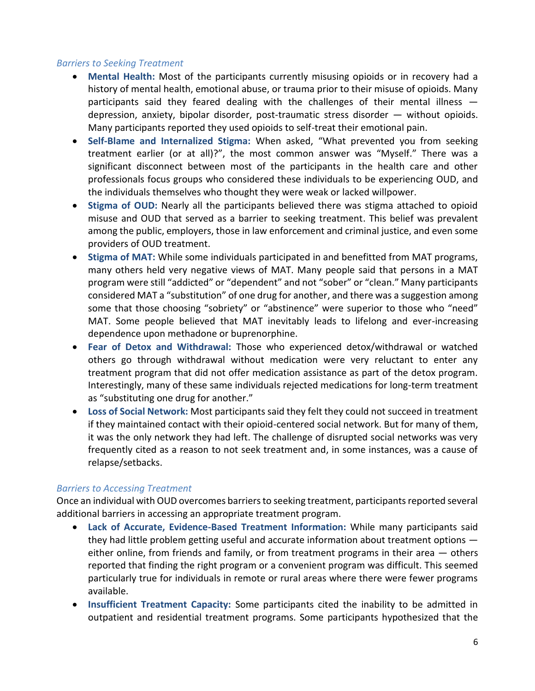#### *Barriers to Seeking Treatment*

- **Mental Health:** Most of the participants currently misusing opioids or in recovery had a history of mental health, emotional abuse, or trauma prior to their misuse of opioids. Many participants said they feared dealing with the challenges of their mental illness  $$ depression, anxiety, bipolar disorder, post-traumatic stress disorder — without opioids. Many participants reported they used opioids to self-treat their emotional pain.
- **Self-Blame and Internalized Stigma:** When asked, "What prevented you from seeking treatment earlier (or at all)?", the most common answer was "Myself." There was a significant disconnect between most of the participants in the health care and other professionals focus groups who considered these individuals to be experiencing OUD, and the individuals themselves who thought they were weak or lacked willpower.
- **Stigma of OUD:** Nearly all the participants believed there was stigma attached to opioid misuse and OUD that served as a barrier to seeking treatment. This belief was prevalent among the public, employers, those in law enforcement and criminal justice, and even some providers of OUD treatment.
- **Stigma of MAT:** While some individuals participated in and benefitted from MAT programs, many others held very negative views of MAT. Many people said that persons in a MAT program were still "addicted" or "dependent" and not "sober" or "clean." Many participants considered MAT a "substitution" of one drug for another, and there was a suggestion among some that those choosing "sobriety" or "abstinence" were superior to those who "need" MAT. Some people believed that MAT inevitably leads to lifelong and ever-increasing dependence upon methadone or buprenorphine.
- **Fear of Detox and Withdrawal:** Those who experienced detox/withdrawal or watched others go through withdrawal without medication were very reluctant to enter any treatment program that did not offer medication assistance as part of the detox program. Interestingly, many of these same individuals rejected medications for long-term treatment as "substituting one drug for another."
- **Loss of Social Network:** Most participants said they felt they could not succeed in treatment if they maintained contact with their opioid-centered social network. But for many of them, it was the only network they had left. The challenge of disrupted social networks was very frequently cited as a reason to not seek treatment and, in some instances, was a cause of relapse/setbacks.

#### *Barriers to Accessing Treatment*

Once an individual with OUD overcomes barriers to seeking treatment, participants reported several additional barriers in accessing an appropriate treatment program.

- **Lack of Accurate, Evidence-Based Treatment Information:** While many participants said they had little problem getting useful and accurate information about treatment options either online, from friends and family, or from treatment programs in their area — others reported that finding the right program or a convenient program was difficult. This seemed particularly true for individuals in remote or rural areas where there were fewer programs available.
- **Insufficient Treatment Capacity:** Some participants cited the inability to be admitted in outpatient and residential treatment programs. Some participants hypothesized that the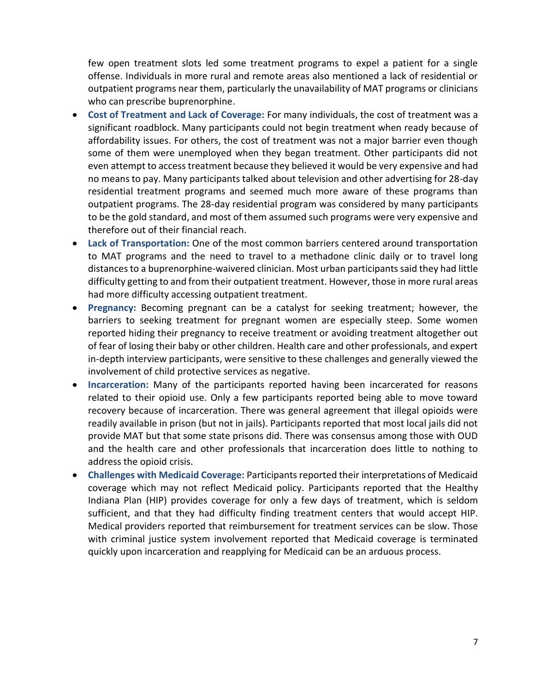few open treatment slots led some treatment programs to expel a patient for a single offense. Individuals in more rural and remote areas also mentioned a lack of residential or outpatient programs near them, particularly the unavailability of MAT programs or clinicians who can prescribe buprenorphine.

- **Cost of Treatment and Lack of Coverage:** For many individuals, the cost of treatment was a significant roadblock. Many participants could not begin treatment when ready because of affordability issues. For others, the cost of treatment was not a major barrier even though some of them were unemployed when they began treatment. Other participants did not even attempt to access treatment because they believed it would be very expensive and had no means to pay. Many participants talked about television and other advertising for 28-day residential treatment programs and seemed much more aware of these programs than outpatient programs. The 28-day residential program was considered by many participants to be the gold standard, and most of them assumed such programs were very expensive and therefore out of their financial reach.
- **Lack of Transportation:** One of the most common barriers centered around transportation to MAT programs and the need to travel to a methadone clinic daily or to travel long distances to a buprenorphine-waivered clinician. Most urban participants said they had little difficulty getting to and from their outpatient treatment. However, those in more rural areas had more difficulty accessing outpatient treatment.
- **Pregnancy:** Becoming pregnant can be a catalyst for seeking treatment; however, the barriers to seeking treatment for pregnant women are especially steep. Some women reported hiding their pregnancy to receive treatment or avoiding treatment altogether out of fear of losing their baby or other children. Health care and other professionals, and expert in-depth interview participants, were sensitive to these challenges and generally viewed the involvement of child protective services as negative.
- **Incarceration:** Many of the participants reported having been incarcerated for reasons related to their opioid use. Only a few participants reported being able to move toward recovery because of incarceration. There was general agreement that illegal opioids were readily available in prison (but not in jails). Participants reported that most local jails did not provide MAT but that some state prisons did. There was consensus among those with OUD and the health care and other professionals that incarceration does little to nothing to address the opioid crisis.
- **Challenges with Medicaid Coverage:** Participants reported their interpretations of Medicaid coverage which may not reflect Medicaid policy. Participants reported that the Healthy Indiana Plan (HIP) provides coverage for only a few days of treatment, which is seldom sufficient, and that they had difficulty finding treatment centers that would accept HIP. Medical providers reported that reimbursement for treatment services can be slow. Those with criminal justice system involvement reported that Medicaid coverage is terminated quickly upon incarceration and reapplying for Medicaid can be an arduous process.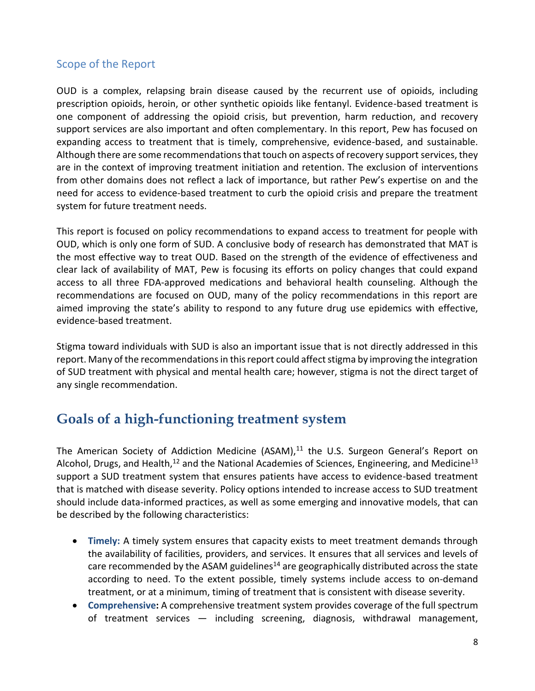# Scope of the Report

OUD is a complex, relapsing brain disease caused by the recurrent use of opioids, including prescription opioids, heroin, or other synthetic opioids like fentanyl. Evidence-based treatment is one component of addressing the opioid crisis, but prevention, harm reduction, and recovery support services are also important and often complementary. In this report, Pew has focused on expanding access to treatment that is timely, comprehensive, evidence-based, and sustainable. Although there are some recommendations that touch on aspects of recovery support services, they are in the context of improving treatment initiation and retention. The exclusion of interventions from other domains does not reflect a lack of importance, but rather Pew's expertise on and the need for access to evidence-based treatment to curb the opioid crisis and prepare the treatment system for future treatment needs.

This report is focused on policy recommendations to expand access to treatment for people with OUD, which is only one form of SUD. A conclusive body of research has demonstrated that MAT is the most effective way to treat OUD. Based on the strength of the evidence of effectiveness and clear lack of availability of MAT, Pew is focusing its efforts on policy changes that could expand access to all three FDA-approved medications and behavioral health counseling. Although the recommendations are focused on OUD, many of the policy recommendations in this report are aimed improving the state's ability to respond to any future drug use epidemics with effective, evidence-based treatment.

Stigma toward individuals with SUD is also an important issue that is not directly addressed in this report. Many of the recommendations in this report could affect stigma by improving the integration of SUD treatment with physical and mental health care; however, stigma is not the direct target of any single recommendation.

# **Goals of a high-functioning treatment system**

The American Society of Addiction Medicine (ASAM), $11$  the U.S. Surgeon General's Report on Alcohol, Drugs, and Health,<sup>12</sup> and the National Academies of Sciences, Engineering, and Medicine<sup>13</sup> support a SUD treatment system that ensures patients have access to evidence-based treatment that is matched with disease severity. Policy options intended to increase access to SUD treatment should include data-informed practices, as well as some emerging and innovative models, that can be described by the following characteristics:

- **Timely:** A timely system ensures that capacity exists to meet treatment demands through the availability of facilities, providers, and services. It ensures that all services and levels of care recommended by the ASAM guidelines<sup>14</sup> are geographically distributed across the state according to need. To the extent possible, timely systems include access to on-demand treatment, or at a minimum, timing of treatment that is consistent with disease severity.
- **Comprehensive:** A comprehensive treatment system provides coverage of the full spectrum of treatment services — including screening, diagnosis, withdrawal management,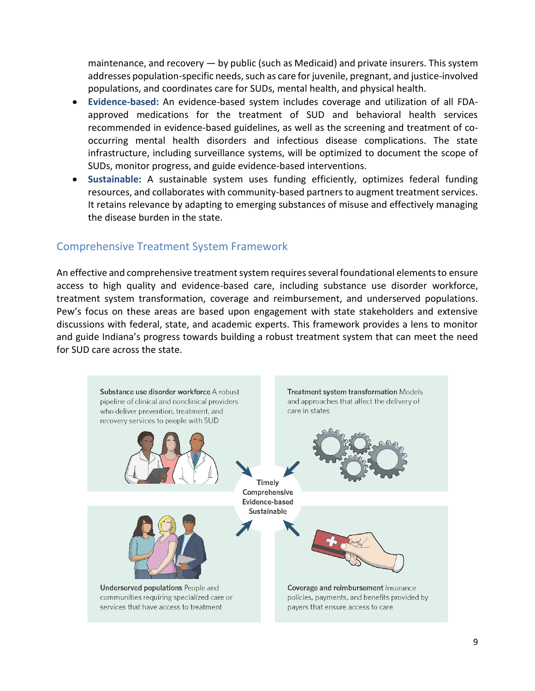maintenance, and recovery — by public (such as Medicaid) and private insurers. This system addresses population-specific needs, such as care for juvenile, pregnant, and justice-involved populations, and coordinates care for SUDs, mental health, and physical health.

- **Evidence-based:** An evidence-based system includes coverage and utilization of all FDAapproved medications for the treatment of SUD and behavioral health services recommended in evidence-based guidelines, as well as the screening and treatment of cooccurring mental health disorders and infectious disease complications. The state infrastructure, including surveillance systems, will be optimized to document the scope of SUDs, monitor progress, and guide evidence-based interventions.
- **Sustainable:** A sustainable system uses funding efficiently, optimizes federal funding resources, and collaborates with community-based partners to augment treatment services. It retains relevance by adapting to emerging substances of misuse and effectively managing the disease burden in the state.

### Comprehensive Treatment System Framework

An effective and comprehensive treatment system requires several foundational elements to ensure access to high quality and evidence-based care, including substance use disorder workforce, treatment system transformation, coverage and reimbursement, and underserved populations. Pew's focus on these areas are based upon engagement with state stakeholders and extensive discussions with federal, state, and academic experts. This framework provides a lens to monitor and guide Indiana's progress towards building a robust treatment system that can meet the need for SUD care across the state.

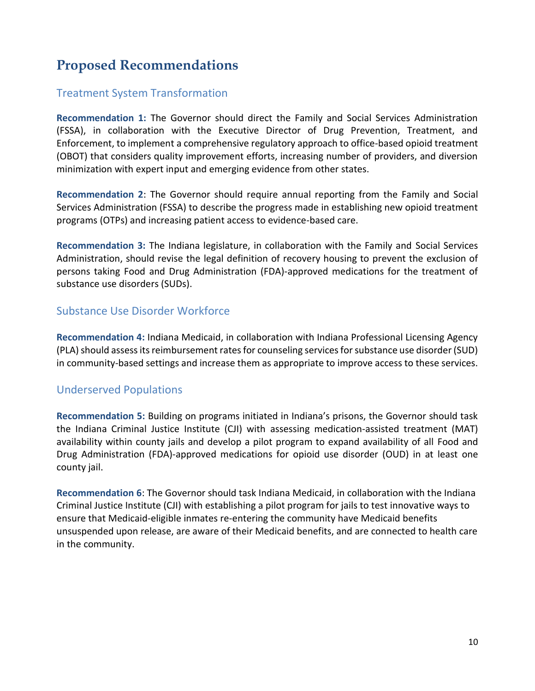# **Proposed Recommendations**

# Treatment System Transformation

**Recommendation 1:** The Governor should direct the Family and Social Services Administration (FSSA), in collaboration with the Executive Director of Drug Prevention, Treatment, and Enforcement, to implement a comprehensive regulatory approach to office-based opioid treatment (OBOT) that considers quality improvement efforts, increasing number of providers, and diversion minimization with expert input and emerging evidence from other states.

**Recommendation 2**: The Governor should require annual reporting from the Family and Social Services Administration (FSSA) to describe the progress made in establishing new opioid treatment programs (OTPs) and increasing patient access to evidence-based care.

**Recommendation 3:** The Indiana legislature, in collaboration with the Family and Social Services Administration, should revise the legal definition of recovery housing to prevent the exclusion of persons taking Food and Drug Administration (FDA)-approved medications for the treatment of substance use disorders (SUDs).

# Substance Use Disorder Workforce

**Recommendation 4:** Indiana Medicaid, in collaboration with Indiana Professional Licensing Agency (PLA) should assess its reimbursement rates for counseling services for substance use disorder (SUD) in community-based settings and increase them as appropriate to improve access to these services.

# Underserved Populations

**Recommendation 5:** Building on programs initiated in Indiana's prisons, the Governor should task the Indiana Criminal Justice Institute (CJI) with assessing medication-assisted treatment (MAT) availability within county jails and develop a pilot program to expand availability of all Food and Drug Administration (FDA)-approved medications for opioid use disorder (OUD) in at least one county jail.

**Recommendation 6**: The Governor should task Indiana Medicaid, in collaboration with the Indiana Criminal Justice Institute (CJI) with establishing a pilot program for jails to test innovative ways to ensure that Medicaid-eligible inmates re-entering the community have Medicaid benefits unsuspended upon release, are aware of their Medicaid benefits, and are connected to health care in the community.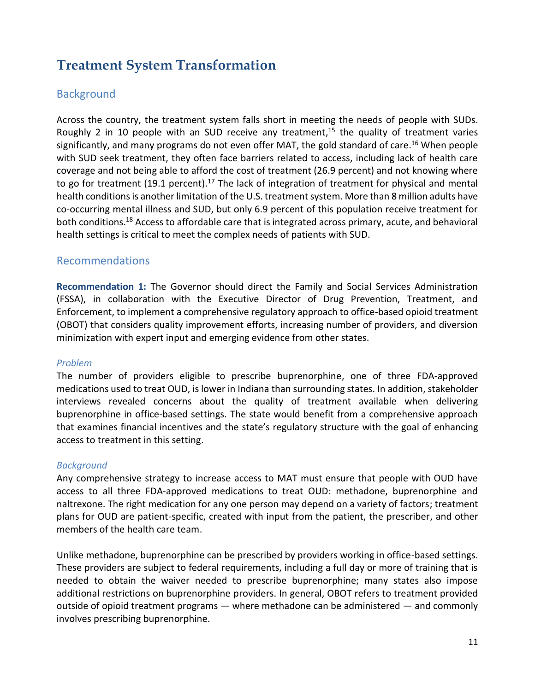# **Treatment System Transformation**

### **Background**

Across the country, the treatment system falls short in meeting the needs of people with SUDs. Roughly 2 in 10 people with an SUD receive any treatment,<sup>15</sup> the quality of treatment varies significantly, and many programs do not even offer MAT, the gold standard of care. <sup>16</sup> When people with SUD seek treatment, they often face barriers related to access, including lack of health care coverage and not being able to afford the cost of treatment (26.9 percent) and not knowing where to go for treatment (19.1 percent).<sup>17</sup> The lack of integration of treatment for physical and mental health conditions is another limitation of the U.S. treatment system. More than 8 million adults have co-occurring mental illness and SUD, but only 6.9 percent of this population receive treatment for both conditions.<sup>18</sup> Access to affordable care that is integrated across primary, acute, and behavioral health settings is critical to meet the complex needs of patients with SUD.

#### Recommendations

**Recommendation 1:** The Governor should direct the Family and Social Services Administration (FSSA), in collaboration with the Executive Director of Drug Prevention, Treatment, and Enforcement, to implement a comprehensive regulatory approach to office-based opioid treatment (OBOT) that considers quality improvement efforts, increasing number of providers, and diversion minimization with expert input and emerging evidence from other states.

#### *Problem*

The number of providers eligible to prescribe buprenorphine, one of three FDA-approved medications used to treat OUD, is lower in Indiana than surrounding states. In addition, stakeholder interviews revealed concerns about the quality of treatment available when delivering buprenorphine in office-based settings. The state would benefit from a comprehensive approach that examines financial incentives and the state's regulatory structure with the goal of enhancing access to treatment in this setting.

#### *Background*

Any comprehensive strategy to increase access to MAT must ensure that people with OUD have access to all three FDA-approved medications to treat OUD: methadone, buprenorphine and naltrexone. The right medication for any one person may depend on a variety of factors; treatment plans for OUD are patient-specific, created with input from the patient, the prescriber, and other members of the health care team.

Unlike methadone, buprenorphine can be prescribed by providers working in office-based settings. These providers are subject to federal requirements, including a full day or more of training that is needed to obtain the waiver needed to prescribe buprenorphine; many states also impose additional restrictions on buprenorphine providers. In general, OBOT refers to treatment provided outside of opioid treatment programs — where methadone can be administered — and commonly involves prescribing buprenorphine.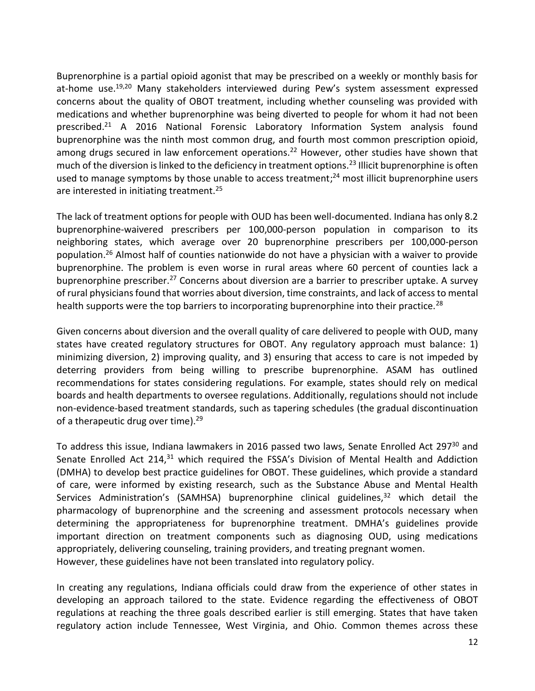Buprenorphine is a partial opioid agonist that may be prescribed on a weekly or monthly basis for at-home use.<sup>19,20</sup> Many stakeholders interviewed during Pew's system assessment expressed concerns about the quality of OBOT treatment, including whether counseling was provided with medications and whether buprenorphine was being diverted to people for whom it had not been prescribed. <sup>21</sup> A 2016 National Forensic Laboratory Information System analysis found buprenorphine was the ninth most common drug, and fourth most common prescription opioid, among drugs secured in law enforcement operations.<sup>22</sup> However, other studies have shown that much of the diversion is linked to the deficiency in treatment options.<sup>23</sup> Illicit buprenorphine is often used to manage symptoms by those unable to access treatment;<sup>24</sup> most illicit buprenorphine users are interested in initiating treatment.<sup>25</sup>

The lack of treatment options for people with OUD has been well-documented. Indiana has only 8.2 buprenorphine-waivered prescribers per 100,000-person population in comparison to its neighboring states, which average over 20 buprenorphine prescribers per 100,000-person population. <sup>26</sup> Almost half of counties nationwide do not have a physician with a waiver to provide buprenorphine. The problem is even worse in rural areas where 60 percent of counties lack a buprenorphine prescriber.<sup>27</sup> Concerns about diversion are a barrier to prescriber uptake. A survey of rural physicians found that worries about diversion, time constraints, and lack of access to mental health supports were the top barriers to incorporating buprenorphine into their practice.<sup>28</sup>

Given concerns about diversion and the overall quality of care delivered to people with OUD, many states have created regulatory structures for OBOT. Any regulatory approach must balance: 1) minimizing diversion, 2) improving quality, and 3) ensuring that access to care is not impeded by deterring providers from being willing to prescribe buprenorphine. ASAM has outlined recommendations for states considering regulations. For example, states should rely on medical boards and health departments to oversee regulations. Additionally, regulations should not include non-evidence-based treatment standards, such as tapering schedules (the gradual discontinuation of a therapeutic drug over time).<sup>29</sup>

To address this issue, Indiana lawmakers in 2016 passed two laws, Senate Enrolled Act 297<sup>30</sup> and Senate Enrolled Act 214, $31$  which required the FSSA's Division of Mental Health and Addiction (DMHA) to develop best practice guidelines for OBOT. These guidelines, which provide a standard of care, were informed by existing research, such as the Substance Abuse and Mental Health Services Administration's (SAMHSA) buprenorphine clinical guidelines,<sup>32</sup> which detail the pharmacology of buprenorphine and the screening and assessment protocols necessary when determining the appropriateness for buprenorphine treatment. DMHA's guidelines provide important direction on treatment components such as diagnosing OUD, using medications appropriately, delivering counseling, training providers, and treating pregnant women. However, these guidelines have not been translated into regulatory policy.

In creating any regulations, Indiana officials could draw from the experience of other states in developing an approach tailored to the state. Evidence regarding the effectiveness of OBOT regulations at reaching the three goals described earlier is still emerging. States that have taken regulatory action include Tennessee, West Virginia, and Ohio. Common themes across these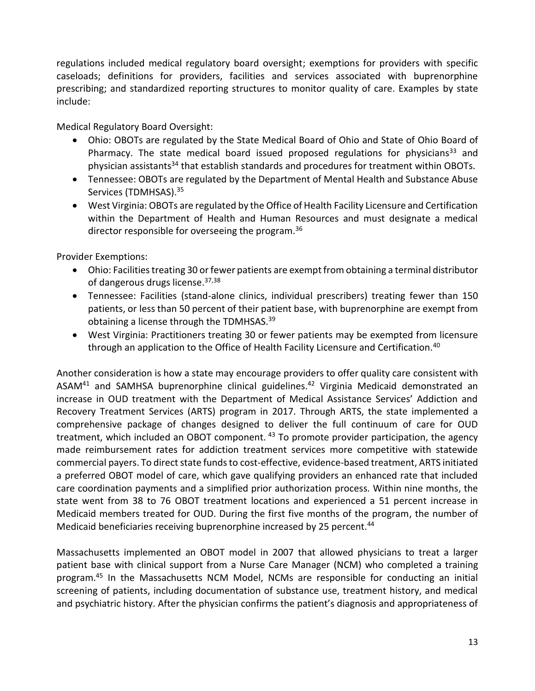regulations included medical regulatory board oversight; exemptions for providers with specific caseloads; definitions for providers, facilities and services associated with buprenorphine prescribing; and standardized reporting structures to monitor quality of care. Examples by state include:

Medical Regulatory Board Oversight:

- Ohio: OBOTs are regulated by the State Medical Board of Ohio and State of Ohio Board of Pharmacy. The state medical board issued proposed regulations for physicians<sup>33</sup> and physician assistants<sup>34</sup> that establish standards and procedures for treatment within OBOTs.
- Tennessee: OBOTs are regulated by the Department of Mental Health and Substance Abuse Services (TDMHSAS). 35
- West Virginia: OBOTs are regulated by the Office of Health Facility Licensure and Certification within the Department of Health and Human Resources and must designate a medical director responsible for overseeing the program.<sup>36</sup>

Provider Exemptions:

- Ohio: Facilities treating 30 or fewer patients are exempt from obtaining a terminal distributor of dangerous drugs license.<sup>37,38</sup>
- Tennessee: Facilities (stand-alone clinics, individual prescribers) treating fewer than 150 patients, or less than 50 percent of their patient base, with buprenorphine are exempt from obtaining a license through the TDMHSAS.<sup>39</sup>
- West Virginia: Practitioners treating 30 or fewer patients may be exempted from licensure through an application to the Office of Health Facility Licensure and Certification.<sup>40</sup>

Another consideration is how a state may encourage providers to offer quality care consistent with ASAM<sup>41</sup> and SAMHSA buprenorphine clinical guidelines.<sup>42</sup> Virginia Medicaid demonstrated an increase in OUD treatment with the Department of Medical Assistance Services' Addiction and Recovery Treatment Services (ARTS) program in 2017. Through ARTS, the state implemented a comprehensive package of changes designed to deliver the full continuum of care for OUD treatment, which included an OBOT component.<sup>43</sup> To promote provider participation, the agency made reimbursement rates for addiction treatment services more competitive with statewide commercial payers. To direct state funds to cost-effective, evidence-based treatment, ARTS initiated a preferred OBOT model of care, which gave qualifying providers an enhanced rate that included care coordination payments and a simplified prior authorization process. Within nine months, the state went from 38 to 76 OBOT treatment locations and experienced a 51 percent increase in Medicaid members treated for OUD. During the first five months of the program, the number of Medicaid beneficiaries receiving buprenorphine increased by 25 percent.<sup>44</sup>

Massachusetts implemented an OBOT model in 2007 that allowed physicians to treat a larger patient base with clinical support from a Nurse Care Manager (NCM) who completed a training program.<sup>45</sup> In the Massachusetts NCM Model, NCMs are responsible for conducting an initial screening of patients, including documentation of substance use, treatment history, and medical and psychiatric history. After the physician confirms the patient's diagnosis and appropriateness of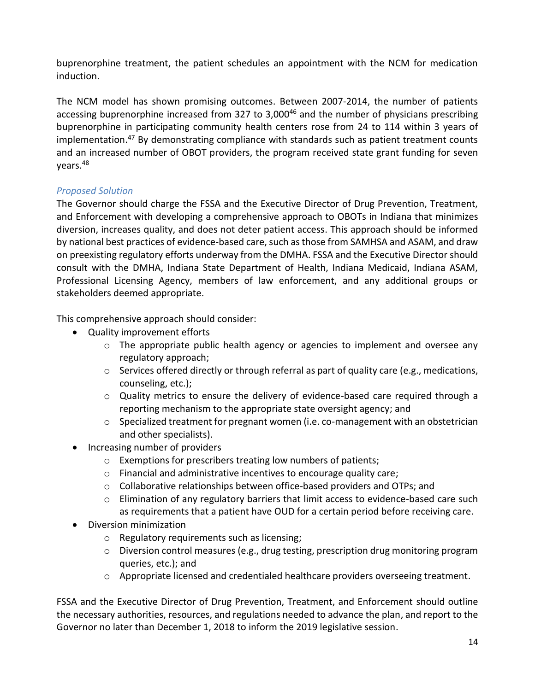buprenorphine treatment, the patient schedules an appointment with the NCM for medication induction.

The NCM model has shown promising outcomes. Between 2007-2014, the number of patients accessing buprenorphine increased from 327 to 3,000<sup>46</sup> and the number of physicians prescribing buprenorphine in participating community health centers rose from 24 to 114 within 3 years of implementation.<sup>47</sup> By demonstrating compliance with standards such as patient treatment counts and an increased number of OBOT providers, the program received state grant funding for seven years.<sup>48</sup>

#### *Proposed Solution*

The Governor should charge the FSSA and the Executive Director of Drug Prevention, Treatment, and Enforcement with developing a comprehensive approach to OBOTs in Indiana that minimizes diversion, increases quality, and does not deter patient access. This approach should be informed by national best practices of evidence-based care, such as those from SAMHSA and ASAM, and draw on preexisting regulatory efforts underway from the DMHA. FSSA and the Executive Director should consult with the DMHA, Indiana State Department of Health, Indiana Medicaid, Indiana ASAM, Professional Licensing Agency, members of law enforcement, and any additional groups or stakeholders deemed appropriate.

This comprehensive approach should consider:

- Quality improvement efforts
	- o The appropriate public health agency or agencies to implement and oversee any regulatory approach;
	- $\circ$  Services offered directly or through referral as part of quality care (e.g., medications, counseling, etc.);
	- $\circ$  Quality metrics to ensure the delivery of evidence-based care required through a reporting mechanism to the appropriate state oversight agency; and
	- $\circ$  Specialized treatment for pregnant women (i.e. co-management with an obstetrician and other specialists).
- Increasing number of providers
	- o Exemptions for prescribers treating low numbers of patients;
	- o Financial and administrative incentives to encourage quality care;
	- $\circ$  Collaborative relationships between office-based providers and OTPs; and
	- o Elimination of any regulatory barriers that limit access to evidence-based care such as requirements that a patient have OUD for a certain period before receiving care.
- Diversion minimization
	- o Regulatory requirements such as licensing;
	- o Diversion control measures (e.g., drug testing, prescription drug monitoring program queries, etc.); and
	- o Appropriate licensed and credentialed healthcare providers overseeing treatment.

FSSA and the Executive Director of Drug Prevention, Treatment, and Enforcement should outline the necessary authorities, resources, and regulations needed to advance the plan, and report to the Governor no later than December 1, 2018 to inform the 2019 legislative session.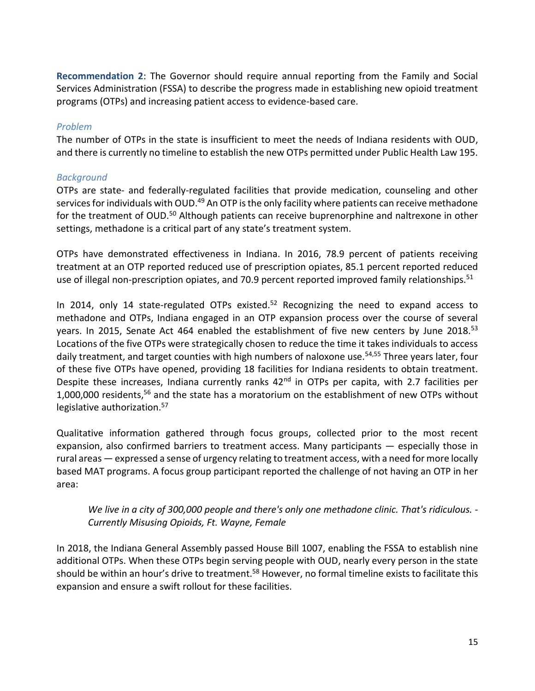**Recommendation 2**: The Governor should require annual reporting from the Family and Social Services Administration (FSSA) to describe the progress made in establishing new opioid treatment programs (OTPs) and increasing patient access to evidence-based care.

#### *Problem*

The number of OTPs in the state is insufficient to meet the needs of Indiana residents with OUD, and there is currently no timeline to establish the new OTPs permitted under Public Health Law 195.

#### *Background*

OTPs are state- and federally-regulated facilities that provide medication, counseling and other services for individuals with OUD.<sup>49</sup> An OTP is the only facility where patients can receive methadone for the treatment of OUD.<sup>50</sup> Although patients can receive buprenorphine and naltrexone in other settings, methadone is a critical part of any state's treatment system.

OTPs have demonstrated effectiveness in Indiana. In 2016, 78.9 percent of patients receiving treatment at an OTP reported reduced use of prescription opiates, 85.1 percent reported reduced use of illegal non-prescription opiates, and 70.9 percent reported improved family relationships.<sup>51</sup>

In 2014, only 14 state-regulated OTPs existed.<sup>52</sup> Recognizing the need to expand access to methadone and OTPs, Indiana engaged in an OTP expansion process over the course of several years. In 2015, Senate Act 464 enabled the establishment of five new centers by June 2018.<sup>53</sup> Locations of the five OTPs were strategically chosen to reduce the time it takes individuals to access daily treatment, and target counties with high numbers of naloxone use.<sup>54,55</sup> Three years later, four of these five OTPs have opened, providing 18 facilities for Indiana residents to obtain treatment. Despite these increases, Indiana currently ranks 42<sup>nd</sup> in OTPs per capita, with 2.7 facilities per 1,000,000 residents, <sup>56</sup> and the state has a moratorium on the establishment of new OTPs without legislative authorization.<sup>57</sup>

Qualitative information gathered through focus groups, collected prior to the most recent expansion, also confirmed barriers to treatment access. Many participants — especially those in rural areas — expressed a sense of urgency relating to treatment access, with a need for more locally based MAT programs. A focus group participant reported the challenge of not having an OTP in her area:

*We live in a city of 300,000 people and there's only one methadone clinic. That's ridiculous. - Currently Misusing Opioids, Ft. Wayne, Female*

In 2018, the Indiana General Assembly passed House Bill 1007, enabling the FSSA to establish nine additional OTPs. When these OTPs begin serving people with OUD, nearly every person in the state should be within an hour's drive to treatment.<sup>58</sup> However, no formal timeline exists to facilitate this expansion and ensure a swift rollout for these facilities.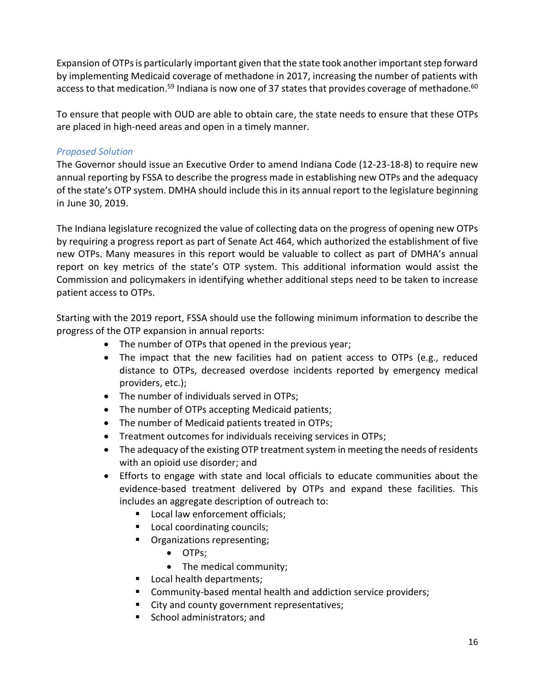Expansion of OTPs is particularly important given that the state took another important step forward by implementing Medicaid coverage of methadone in 2017, increasing the number of patients with access to that medication.<sup>59</sup> Indiana is now one of 37 states that provides coverage of methadone.<sup>60</sup>

To ensure that people with OUD are able to obtain care, the state needs to ensure that these OTPs are placed in high-need areas and open in a timely manner.

#### *Proposed Solution*

The Governor should issue an Executive Order to amend Indiana Code (12-23-18-8) to require new annual reporting by FSSA to describe the progress made in establishing new OTPs and the adequacy of the state's OTP system. DMHA should include this in its annual report to the legislature beginning in June 30, 2019.

The Indiana legislature recognized the value of collecting data on the progress of opening new OTPs by requiring a progress report as part of Senate Act 464, which authorized the establishment of five new OTPs. Many measures in this report would be valuable to collect as part of DMHA's annual report on key metrics of the state's OTP system. This additional information would assist the Commission and policymakers in identifying whether additional steps need to be taken to increase patient access to OTPs.

Starting with the 2019 report, FSSA should use the following minimum information to describe the progress of the OTP expansion in annual reports:

- The number of OTPs that opened in the previous year;
- The impact that the new facilities had on patient access to OTPs (e.g., reduced distance to OTPs, decreased overdose incidents reported by emergency medical providers, etc.);
- The number of individuals served in OTPs;
- The number of OTPs accepting Medicaid patients;
- The number of Medicaid patients treated in OTPs;
- Treatment outcomes for individuals receiving services in OTPs;
- The adequacy of the existing OTP treatment system in meeting the needs of residents with an opioid use disorder; and
- Efforts to engage with state and local officials to educate communities about the evidence-based treatment delivered by OTPs and expand these facilities. This includes an aggregate description of outreach to:
	- Local law enforcement officials;
	- Local coordinating councils;
	- **•** Organizations representing;
		- OTPs;
		- The medical community;
	- Local health departments;
	- Community-based mental health and addiction service providers;
	- City and county government representatives;
	- School administrators; and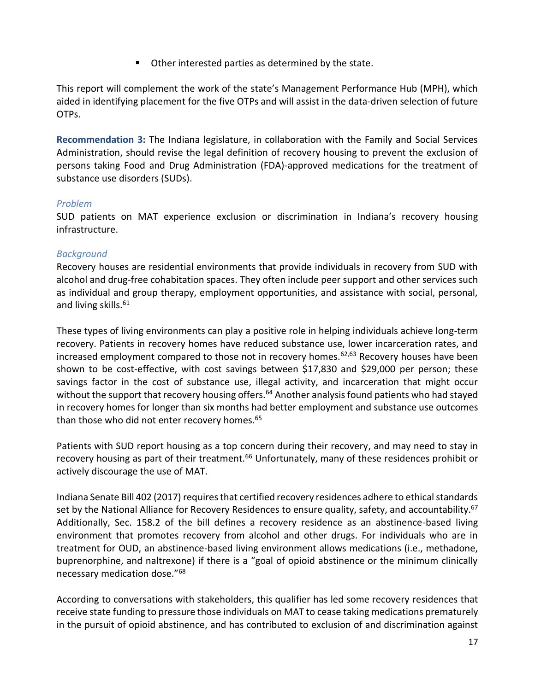■ Other interested parties as determined by the state.

This report will complement the work of the state's Management Performance Hub (MPH), which aided in identifying placement for the five OTPs and will assist in the data-driven selection of future OTPs.

**Recommendation 3:** The Indiana legislature, in collaboration with the Family and Social Services Administration, should revise the legal definition of recovery housing to prevent the exclusion of persons taking Food and Drug Administration (FDA)-approved medications for the treatment of substance use disorders (SUDs).

#### *Problem*

SUD patients on MAT experience exclusion or discrimination in Indiana's recovery housing infrastructure.

#### *Background*

Recovery houses are residential environments that provide individuals in recovery from SUD with alcohol and drug-free cohabitation spaces. They often include peer support and other services such as individual and group therapy, employment opportunities, and assistance with social, personal, and living skills.<sup>61</sup>

These types of living environments can play a positive role in helping individuals achieve long-term recovery. Patients in recovery homes have reduced substance use, lower incarceration rates, and increased employment compared to those not in recovery homes.<sup>62,63</sup> Recovery houses have been shown to be cost-effective, with cost savings between \$17,830 and \$29,000 per person; these savings factor in the cost of substance use, illegal activity, and incarceration that might occur without the support that recovery housing offers.<sup>64</sup> Another analysis found patients who had stayed in recovery homes for longer than six months had better employment and substance use outcomes than those who did not enter recovery homes. 65

Patients with SUD report housing as a top concern during their recovery, and may need to stay in recovery housing as part of their treatment.<sup>66</sup> Unfortunately, many of these residences prohibit or actively discourage the use of MAT.

Indiana Senate Bill 402 (2017) requires that certified recovery residences adhere to ethical standards set by the National Alliance for Recovery Residences to ensure quality, safety, and accountability.<sup>67</sup> Additionally, Sec. 158.2 of the bill defines a recovery residence as an abstinence-based living environment that promotes recovery from alcohol and other drugs. For individuals who are in treatment for OUD, an abstinence-based living environment allows medications (i.e., methadone, buprenorphine, and naltrexone) if there is a "goal of opioid abstinence or the minimum clinically necessary medication dose."<sup>68</sup>

According to conversations with stakeholders, this qualifier has led some recovery residences that receive state funding to pressure those individuals on MAT to cease taking medications prematurely in the pursuit of opioid abstinence, and has contributed to exclusion of and discrimination against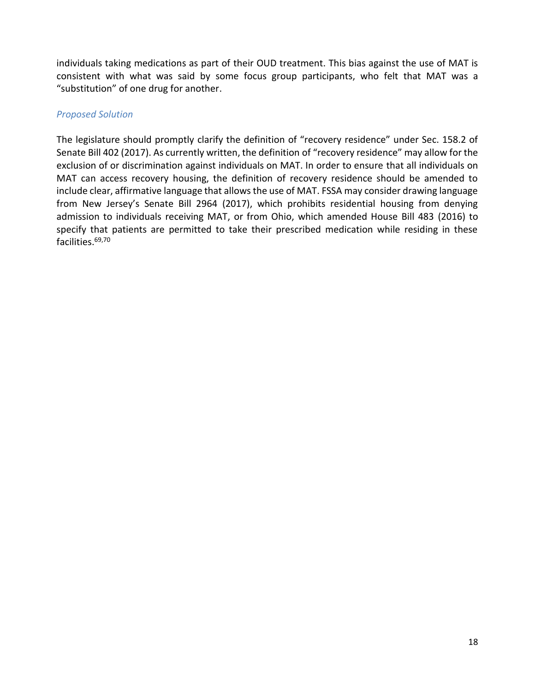individuals taking medications as part of their OUD treatment. This bias against the use of MAT is consistent with what was said by some focus group participants, who felt that MAT was a "substitution" of one drug for another.

#### *Proposed Solution*

The legislature should promptly clarify the definition of "recovery residence" under Sec. 158.2 of Senate Bill 402 (2017). As currently written, the definition of "recovery residence" may allow for the exclusion of or discrimination against individuals on MAT. In order to ensure that all individuals on MAT can access recovery housing, the definition of recovery residence should be amended to include clear, affirmative language that allows the use of MAT. FSSA may consider drawing language from New Jersey's Senate Bill 2964 (2017), which prohibits residential housing from denying admission to individuals receiving MAT, or from Ohio, which amended House Bill 483 (2016) to specify that patients are permitted to take their prescribed medication while residing in these facilities. 69,70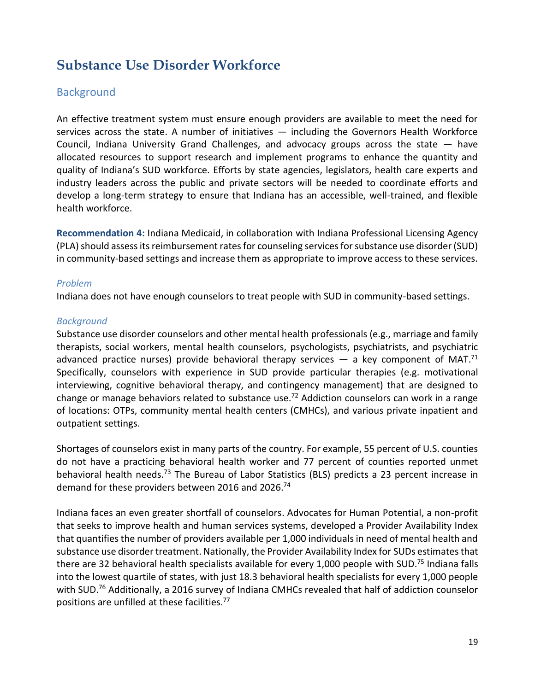# **Substance Use Disorder Workforce**

### **Background**

An effective treatment system must ensure enough providers are available to meet the need for services across the state. A number of initiatives  $-$  including the Governors Health Workforce Council, Indiana University Grand Challenges, and advocacy groups across the state — have allocated resources to support research and implement programs to enhance the quantity and quality of Indiana's SUD workforce. Efforts by state agencies, legislators, health care experts and industry leaders across the public and private sectors will be needed to coordinate efforts and develop a long-term strategy to ensure that Indiana has an accessible, well-trained, and flexible health workforce.

**Recommendation 4:** Indiana Medicaid, in collaboration with Indiana Professional Licensing Agency (PLA) should assess its reimbursement rates for counseling services for substance use disorder (SUD) in community-based settings and increase them as appropriate to improve access to these services.

#### *Problem*

Indiana does not have enough counselors to treat people with SUD in community-based settings.

#### *Background*

Substance use disorder counselors and other mental health professionals (e.g., marriage and family therapists, social workers, mental health counselors, psychologists, psychiatrists, and psychiatric advanced practice nurses) provide behavioral therapy services  $-$  a key component of MAT.<sup>71</sup> Specifically, counselors with experience in SUD provide particular therapies (e.g. motivational interviewing, cognitive behavioral therapy, and contingency management) that are designed to change or manage behaviors related to substance use.<sup>72</sup> Addiction counselors can work in a range of locations: OTPs, community mental health centers (CMHCs), and various private inpatient and outpatient settings.

Shortages of counselors exist in many parts of the country. For example, 55 percent of U.S. counties do not have a practicing behavioral health worker and 77 percent of counties reported unmet behavioral health needs.<sup>73</sup> The Bureau of Labor Statistics (BLS) predicts a 23 percent increase in demand for these providers between 2016 and 2026.<sup>74</sup>

Indiana faces an even greater shortfall of counselors. Advocates for Human Potential, a non-profit that seeks to improve health and human services systems, developed a Provider Availability Index that quantifies the number of providers available per 1,000 individuals in need of mental health and substance use disorder treatment. Nationally, the Provider Availability Index for SUDs estimates that there are 32 behavioral health specialists available for every 1,000 people with SUD.<sup>75</sup> Indiana falls into the lowest quartile of states, with just 18.3 behavioral health specialists for every 1,000 people with SUD.<sup>76</sup> Additionally, a 2016 survey of Indiana CMHCs revealed that half of addiction counselor positions are unfilled at these facilities.<sup>77</sup>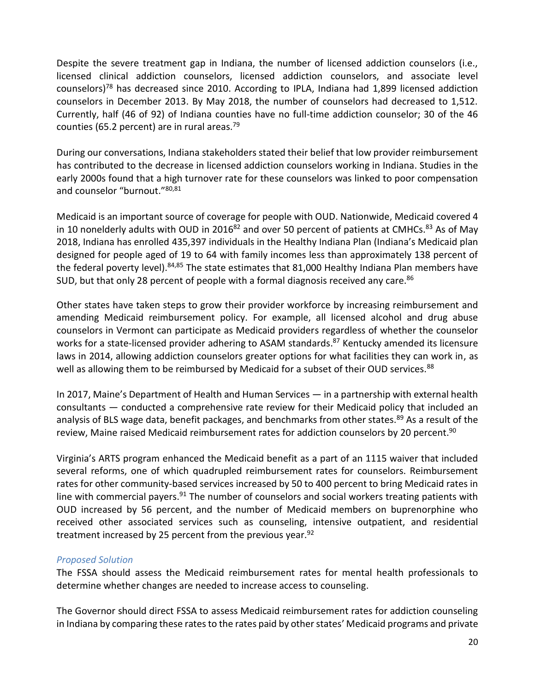Despite the severe treatment gap in Indiana, the number of licensed addiction counselors (i.e., licensed clinical addiction counselors, licensed addiction counselors, and associate level counselors)<sup>78</sup> has decreased since 2010. According to IPLA, Indiana had 1,899 licensed addiction counselors in December 2013. By May 2018, the number of counselors had decreased to 1,512. Currently, half (46 of 92) of Indiana counties have no full-time addiction counselor; 30 of the 46 counties (65.2 percent) are in rural areas.<sup>79</sup>

During our conversations, Indiana stakeholders stated their belief that low provider reimbursement has contributed to the decrease in licensed addiction counselors working in Indiana. Studies in the early 2000s found that a high turnover rate for these counselors was linked to poor compensation and counselor "burnout."<sup>80,81</sup>

Medicaid is an important source of coverage for people with OUD. Nationwide, Medicaid covered 4 in 10 nonelderly adults with OUD in 2016<sup>82</sup> and over 50 percent of patients at CMHCs.<sup>83</sup> As of May 2018, Indiana has enrolled 435,397 individuals in the Healthy Indiana Plan (Indiana's Medicaid plan designed for people aged of 19 to 64 with family incomes less than approximately 138 percent of the federal poverty level).<sup>84,85</sup> The state estimates that 81,000 Healthy Indiana Plan members have SUD, but that only 28 percent of people with a formal diagnosis received any care.<sup>86</sup>

Other states have taken steps to grow their provider workforce by increasing reimbursement and amending Medicaid reimbursement policy. For example, all licensed alcohol and drug abuse counselors in Vermont can participate as Medicaid providers regardless of whether the counselor works for a state-licensed provider adhering to ASAM standards.<sup>87</sup> Kentucky amended its licensure laws in 2014, allowing addiction counselors greater options for what facilities they can work in, as well as allowing them to be reimbursed by Medicaid for a subset of their OUD services.<sup>88</sup>

In 2017, Maine's Department of Health and Human Services — in a partnership with external health consultants — conducted a comprehensive rate review for their Medicaid policy that included an analysis of BLS wage data, benefit packages, and benchmarks from other states.<sup>89</sup> As a result of the review, Maine raised Medicaid reimbursement rates for addiction counselors by 20 percent.<sup>90</sup>

Virginia's ARTS program enhanced the Medicaid benefit as a part of an 1115 waiver that included several reforms, one of which quadrupled reimbursement rates for counselors. Reimbursement rates for other community-based services increased by 50 to 400 percent to bring Medicaid rates in line with commercial payers.<sup>91</sup> The number of counselors and social workers treating patients with OUD increased by 56 percent, and the number of Medicaid members on buprenorphine who received other associated services such as counseling, intensive outpatient, and residential treatment increased by 25 percent from the previous year. $92$ 

#### *Proposed Solution*

The FSSA should assess the Medicaid reimbursement rates for mental health professionals to determine whether changes are needed to increase access to counseling.

The Governor should direct FSSA to assess Medicaid reimbursement rates for addiction counseling in Indiana by comparing these rates to the rates paid by other states' Medicaid programs and private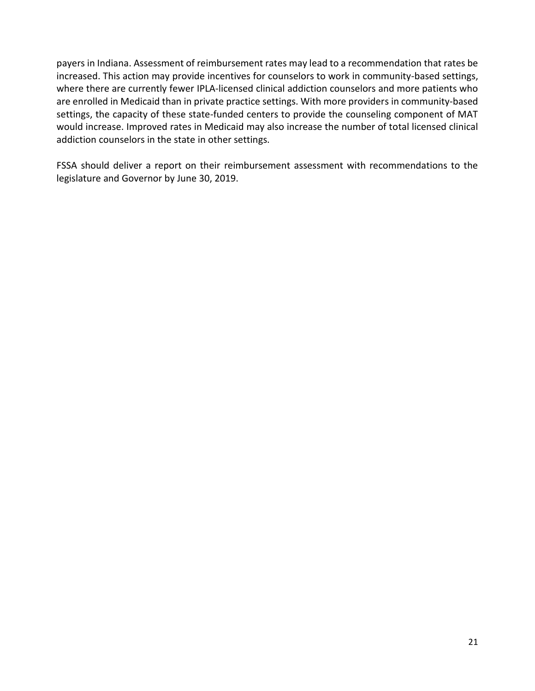payers in Indiana. Assessment of reimbursement rates may lead to a recommendation that rates be increased. This action may provide incentives for counselors to work in community-based settings, where there are currently fewer IPLA-licensed clinical addiction counselors and more patients who are enrolled in Medicaid than in private practice settings. With more providers in community-based settings, the capacity of these state-funded centers to provide the counseling component of MAT would increase. Improved rates in Medicaid may also increase the number of total licensed clinical addiction counselors in the state in other settings.

FSSA should deliver a report on their reimbursement assessment with recommendations to the legislature and Governor by June 30, 2019.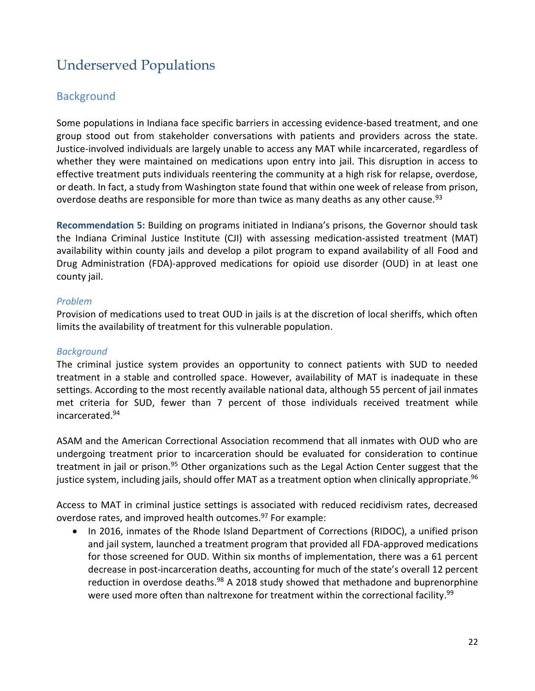# Underserved Populations

# **Background**

Some populations in Indiana face specific barriers in accessing evidence-based treatment, and one group stood out from stakeholder conversations with patients and providers across the state. Justice-involved individuals are largely unable to access any MAT while incarcerated, regardless of whether they were maintained on medications upon entry into jail. This disruption in access to effective treatment puts individuals reentering the community at a high risk for relapse, overdose, or death. In fact, a study from Washington state found that within one week of release from prison, overdose deaths are responsible for more than twice as many deaths as any other cause.<sup>93</sup>

**Recommendation 5:** Building on programs initiated in Indiana's prisons, the Governor should task the Indiana Criminal Justice Institute (CJI) with assessing medication-assisted treatment (MAT) availability within county jails and develop a pilot program to expand availability of all Food and Drug Administration (FDA)-approved medications for opioid use disorder (OUD) in at least one county jail.

#### *Problem*

Provision of medications used to treat OUD in jails is at the discretion of local sheriffs, which often limits the availability of treatment for this vulnerable population.

#### *Background*

The criminal justice system provides an opportunity to connect patients with SUD to needed treatment in a stable and controlled space. However, availability of MAT is inadequate in these settings. According to the most recently available national data, although 55 percent of jail inmates met criteria for SUD, fewer than 7 percent of those individuals received treatment while incarcerated.<sup>94</sup>

ASAM and the American Correctional Association recommend that all inmates with OUD who are undergoing treatment prior to incarceration should be evaluated for consideration to continue treatment in jail or prison.<sup>95</sup> Other organizations such as the Legal Action Center suggest that the justice system, including jails, should offer MAT as a treatment option when clinically appropriate.<sup>96</sup>

Access to MAT in criminal justice settings is associated with reduced recidivism rates, decreased overdose rates, and improved health outcomes.<sup>97</sup> For example:

• In 2016, inmates of the Rhode Island Department of Corrections (RIDOC), a unified prison and jail system, launched a treatment program that provided all FDA-approved medications for those screened for OUD. Within six months of implementation, there was a 61 percent decrease in post-incarceration deaths, accounting for much of the state's overall 12 percent reduction in overdose deaths.<sup>98</sup> A 2018 study showed that methadone and buprenorphine were used more often than naltrexone for treatment within the correctional facility.<sup>99</sup>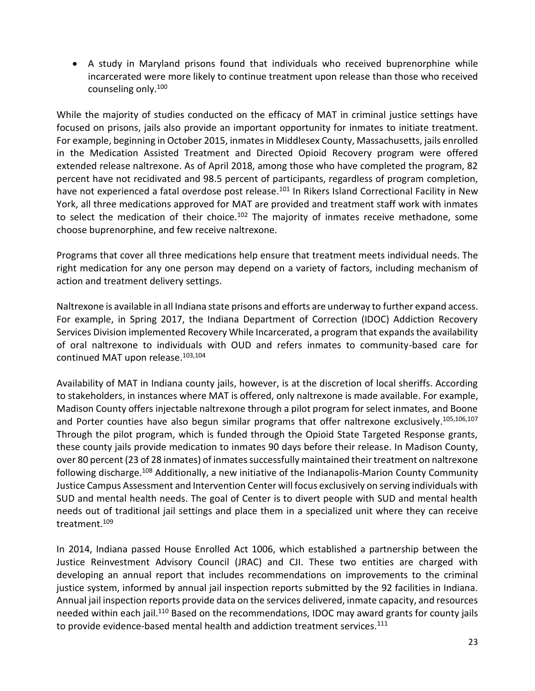• A study in Maryland prisons found that individuals who received buprenorphine while incarcerated were more likely to continue treatment upon release than those who received counseling only.<sup>100</sup>

While the majority of studies conducted on the efficacy of MAT in criminal justice settings have focused on prisons, jails also provide an important opportunity for inmates to initiate treatment. For example, beginning in October 2015, inmates in Middlesex County, Massachusetts, jails enrolled in the Medication Assisted Treatment and Directed Opioid Recovery program were offered extended release naltrexone. As of April 2018, among those who have completed the program, 82 percent have not recidivated and 98.5 percent of participants, regardless of program completion, have not experienced a fatal overdose post release.<sup>101</sup> In Rikers Island Correctional Facility in New York, all three medications approved for MAT are provided and treatment staff work with inmates to select the medication of their choice.<sup>102</sup> The majority of inmates receive methadone, some choose buprenorphine, and few receive naltrexone.

Programs that cover all three medications help ensure that treatment meets individual needs. The right medication for any one person may depend on a variety of factors, including mechanism of action and treatment delivery settings.

Naltrexone is available in all Indiana state prisons and efforts are underway to further expand access. For example, in Spring 2017, the Indiana Department of Correction (IDOC) Addiction Recovery Services Division implemented Recovery While Incarcerated, a program that expands the availability of oral naltrexone to individuals with OUD and refers inmates to community-based care for continued MAT upon release.<sup>103,104</sup>

Availability of MAT in Indiana county jails, however, is at the discretion of local sheriffs. According to stakeholders, in instances where MAT is offered, only naltrexone is made available. For example, Madison County offers injectable naltrexone through a pilot program for select inmates, and Boone and Porter counties have also begun similar programs that offer naltrexone exclusively.<sup>105,106,107</sup> Through the pilot program, which is funded through the Opioid State Targeted Response grants, these county jails provide medication to inmates 90 days before their release. In Madison County, over 80 percent (23 of 28 inmates) of inmates successfully maintained their treatment on naltrexone following discharge.<sup>108</sup> Additionally, a new initiative of the Indianapolis-Marion County Community Justice Campus Assessment and Intervention Center will focus exclusively on serving individuals with SUD and mental health needs. The goal of Center is to divert people with SUD and mental health needs out of traditional jail settings and place them in a specialized unit where they can receive treatment.<sup>109</sup>

In 2014, Indiana passed House Enrolled Act 1006, which established a partnership between the Justice Reinvestment Advisory Council (JRAC) and CJI. These two entities are charged with developing an annual report that includes recommendations on improvements to the criminal justice system, informed by annual jail inspection reports submitted by the 92 facilities in Indiana. Annual jail inspection reports provide data on the services delivered, inmate capacity, and resources needed within each jail.<sup>110</sup> Based on the recommendations, IDOC may award grants for county jails to provide evidence-based mental health and addiction treatment services.<sup>111</sup>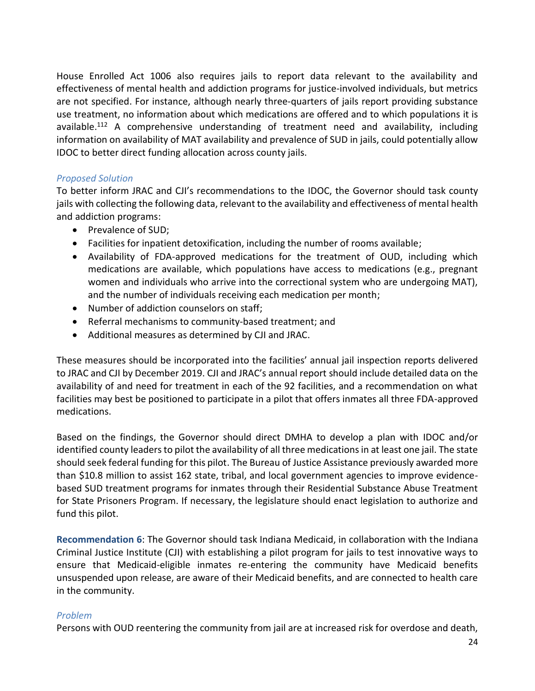House Enrolled Act 1006 also requires jails to report data relevant to the availability and effectiveness of mental health and addiction programs for justice-involved individuals, but metrics are not specified. For instance, although nearly three-quarters of jails report providing substance use treatment, no information about which medications are offered and to which populations it is available.<sup>112</sup> A comprehensive understanding of treatment need and availability, including information on availability of MAT availability and prevalence of SUD in jails, could potentially allow IDOC to better direct funding allocation across county jails.

#### *Proposed Solution*

To better inform JRAC and CJI's recommendations to the IDOC, the Governor should task county jails with collecting the following data, relevant to the availability and effectiveness of mental health and addiction programs:

- Prevalence of SUD;
- Facilities for inpatient detoxification, including the number of rooms available;
- Availability of FDA-approved medications for the treatment of OUD, including which medications are available, which populations have access to medications (e.g., pregnant women and individuals who arrive into the correctional system who are undergoing MAT), and the number of individuals receiving each medication per month;
- Number of addiction counselors on staff;
- Referral mechanisms to community-based treatment; and
- Additional measures as determined by CJI and JRAC.

These measures should be incorporated into the facilities' annual jail inspection reports delivered to JRAC and CJI by December 2019. CJI and JRAC's annual report should include detailed data on the availability of and need for treatment in each of the 92 facilities, and a recommendation on what facilities may best be positioned to participate in a pilot that offers inmates all three FDA-approved medications.

Based on the findings, the Governor should direct DMHA to develop a plan with IDOC and/or identified county leaders to pilot the availability of all three medications in at least one jail. The state should seek federal funding for this pilot. The Bureau of Justice Assistance previously awarded more than \$10.8 million to assist 162 state, tribal, and local government agencies to improve evidencebased SUD treatment programs for inmates through their Residential Substance Abuse Treatment for State Prisoners Program. If necessary, the legislature should enact legislation to authorize and fund this pilot.

**Recommendation 6**: The Governor should task Indiana Medicaid, in collaboration with the Indiana Criminal Justice Institute (CJI) with establishing a pilot program for jails to test innovative ways to ensure that Medicaid-eligible inmates re-entering the community have Medicaid benefits unsuspended upon release, are aware of their Medicaid benefits, and are connected to health care in the community.

#### *Problem*

Persons with OUD reentering the community from jail are at increased risk for overdose and death,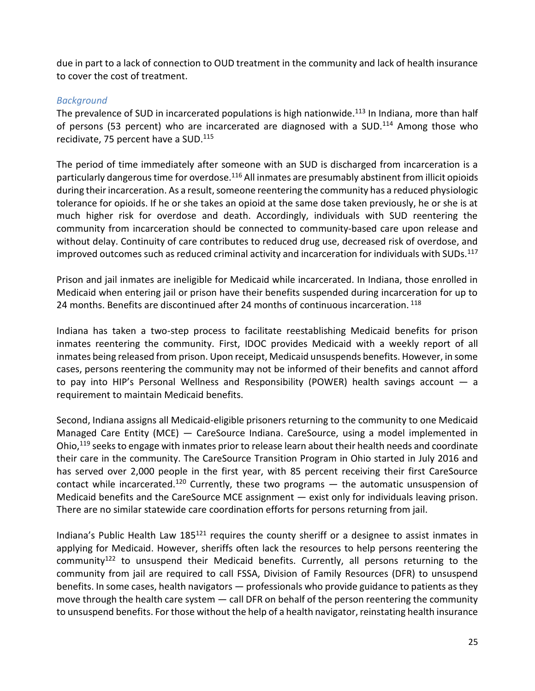due in part to a lack of connection to OUD treatment in the community and lack of health insurance to cover the cost of treatment.

#### *Background*

The prevalence of SUD in incarcerated populations is high nationwide.<sup>113</sup> In Indiana, more than half of persons (53 percent) who are incarcerated are diagnosed with a SUD.<sup>114</sup> Among those who recidivate, 75 percent have a SUD.<sup>115</sup>

The period of time immediately after someone with an SUD is discharged from incarceration is a particularly dangerous time for overdose.<sup>116</sup> All inmates are presumably abstinent from illicit opioids during their incarceration. As a result, someone reentering the community has a reduced physiologic tolerance for opioids. If he or she takes an opioid at the same dose taken previously, he or she is at much higher risk for overdose and death. Accordingly, individuals with SUD reentering the community from incarceration should be connected to community-based care upon release and without delay. Continuity of care contributes to reduced drug use, decreased risk of overdose, and improved outcomes such as reduced criminal activity and incarceration for individuals with SUDs.<sup>117</sup>

Prison and jail inmates are ineligible for Medicaid while incarcerated. In Indiana, those enrolled in Medicaid when entering jail or prison have their benefits suspended during incarceration for up to 24 months. Benefits are discontinued after 24 months of continuous incarceration.  $^{118}$ 

Indiana has taken a two-step process to facilitate reestablishing Medicaid benefits for prison inmates reentering the community. First, IDOC provides Medicaid with a weekly report of all inmates being released from prison. Upon receipt, Medicaid unsuspends benefits. However, in some cases, persons reentering the community may not be informed of their benefits and cannot afford to pay into HIP's Personal Wellness and Responsibility (POWER) health savings account — a requirement to maintain Medicaid benefits.

Second, Indiana assigns all Medicaid-eligible prisoners returning to the community to one Medicaid Managed Care Entity (MCE) — CareSource Indiana. CareSource, using a model implemented in Ohio,<sup>119</sup> seeks to engage with inmates prior to release learn about their health needs and coordinate their care in the community. The CareSource Transition Program in Ohio started in July 2016 and has served over 2,000 people in the first year, with 85 percent receiving their first CareSource contact while incarcerated.<sup>120</sup> Currently, these two programs  $-$  the automatic unsuspension of Medicaid benefits and the CareSource MCE assignment — exist only for individuals leaving prison. There are no similar statewide care coordination efforts for persons returning from jail.

Indiana's Public Health Law  $185^{121}$  requires the county sheriff or a designee to assist inmates in applying for Medicaid. However, sheriffs often lack the resources to help persons reentering the community<sup>122</sup> to unsuspend their Medicaid benefits. Currently, all persons returning to the community from jail are required to call FSSA, Division of Family Resources (DFR) to unsuspend benefits. In some cases, health navigators — professionals who provide guidance to patients as they move through the health care system — call DFR on behalf of the person reentering the community to unsuspend benefits. For those without the help of a health navigator, reinstating health insurance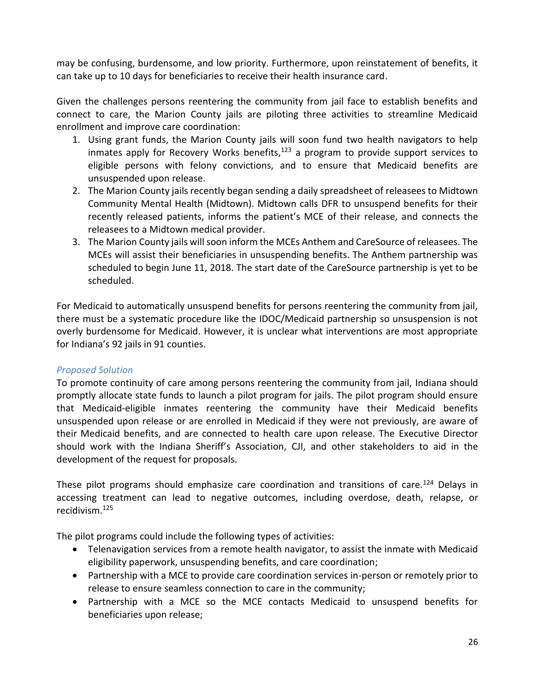may be confusing, burdensome, and low priority. Furthermore, upon reinstatement of benefits, it can take up to 10 days for beneficiaries to receive their health insurance card.

Given the challenges persons reentering the community from jail face to establish benefits and connect to care, the Marion County jails are piloting three activities to streamline Medicaid enrollment and improve care coordination:

- 1. Using grant funds, the Marion County jails will soon fund two health navigators to help inmates apply for Recovery Works benefits, $123$  a program to provide support services to eligible persons with felony convictions, and to ensure that Medicaid benefits are unsuspended upon release.
- 2. The Marion County jails recently began sending a daily spreadsheet of releasees to Midtown Community Mental Health (Midtown). Midtown calls DFR to unsuspend benefits for their recently released patients, informs the patient's MCE of their release, and connects the releasees to a Midtown medical provider.
- 3. The Marion County jails will soon inform the MCEs Anthem and CareSource of releasees. The MCEs will assist their beneficiaries in unsuspending benefits. The Anthem partnership was scheduled to begin June 11, 2018. The start date of the CareSource partnership is yet to be scheduled.

For Medicaid to automatically unsuspend benefits for persons reentering the community from jail, there must be a systematic procedure like the IDOC/Medicaid partnership so unsuspension is not overly burdensome for Medicaid. However, it is unclear what interventions are most appropriate for Indiana's 92 jails in 91 counties.

#### *Proposed Solution*

To promote continuity of care among persons reentering the community from jail, Indiana should promptly allocate state funds to launch a pilot program for jails. The pilot program should ensure that Medicaid-eligible inmates reentering the community have their Medicaid benefits unsuspended upon release or are enrolled in Medicaid if they were not previously, are aware of their Medicaid benefits, and are connected to health care upon release. The Executive Director should work with the Indiana Sheriff's Association, CJI, and other stakeholders to aid in the development of the request for proposals.

These pilot programs should emphasize care coordination and transitions of care.<sup>124</sup> Delays in accessing treatment can lead to negative outcomes, including overdose, death, relapse, or recidivism.<sup>125</sup>

The pilot programs could include the following types of activities:

- Telenavigation services from a remote health navigator, to assist the inmate with Medicaid eligibility paperwork, unsuspending benefits, and care coordination;
- Partnership with a MCE to provide care coordination services in-person or remotely prior to release to ensure seamless connection to care in the community;
- Partnership with a MCE so the MCE contacts Medicaid to unsuspend benefits for beneficiaries upon release;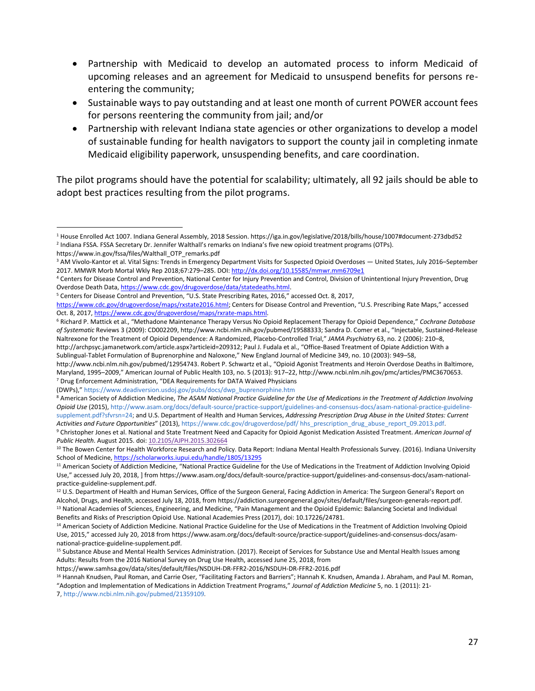- Partnership with Medicaid to develop an automated process to inform Medicaid of upcoming releases and an agreement for Medicaid to unsuspend benefits for persons reentering the community;
- Sustainable ways to pay outstanding and at least one month of current POWER account fees for persons reentering the community from jail; and/or
- Partnership with relevant Indiana state agencies or other organizations to develop a model of sustainable funding for health navigators to support the county jail in completing inmate Medicaid eligibility paperwork, unsuspending benefits, and care coordination.

The pilot programs should have the potential for scalability; ultimately, all 92 jails should be able to adopt best practices resulting from the pilot programs.

 $\overline{a}$ 

(DWPs)," [https://www.deadiversion.usdoj.gov/pubs/docs/dwp\\_buprenorphine.htm](https://www.deadiversion.usdoj.gov/pubs/docs/dwp_buprenorphine.htm)

https://www.samhsa.gov/data/sites/default/files/NSDUH-DR-FFR2-2016/NSDUH-DR-FFR2-2016.pdf

7, <http://www.ncbi.nlm.nih.gov/pubmed/21359109>*.*

<sup>1</sup> House Enrolled Act 1007. Indiana General Assembly, 2018 Session. https://iga.in.gov/legislative/2018/bills/house/1007#document-273dbd52 2 Indiana FSSA. FSSA Secretary Dr. Jennifer Walthall's remarks on Indiana's five new opioid treatment programs (OTPs).

https://www.in.gov/fssa/files/Walthall\_OTP\_remarks.pdf

<sup>3</sup> AM Vivolo-Kantor et al. Vital Signs: Trends in Emergency Department Visits for Suspected Opioid Overdoses — United States, July 2016–September 2017. MMWR Morb Mortal Wkly Rep 2018;67:279–285. DOI: <http://dx.doi.org/10.15585/mmwr.mm6709e1>

<sup>4</sup> Centers for Disease Control and Prevention, National Center for Injury Prevention and Control, Division of Unintentional Injury Prevention, Drug Overdose Death Data[, https://www.cdc.gov/drugoverdose/data/statedeaths.html.](https://www.cdc.gov/drugoverdose/data/statedeaths.html)

<sup>5</sup> Centers for Disease Control and Prevention, "U.S. State Prescribing Rates, 2016," accessed Oct. 8, 2017,

[https://www.cdc.gov/drugoverdose/maps/rxstate2016.html;](https://www.cdc.gov/drugoverdose/maps/rxstate2016.html) Centers for Disease Control and Prevention, "U.S. Prescribing Rate Maps," accessed Oct. 8, 2017[, https://www.cdc.gov/drugoverdose/maps/rxrate-maps.html.](https://www.cdc.gov/drugoverdose/maps/rxrate-maps.html) 

<sup>6</sup> Richard P. Mattick et al., "Methadone Maintenance Therapy Versus No Opioid Replacement Therapy for Opioid Dependence," *Cochrane Database of Systematic* Reviews 3 (2009): CD002209, http://www.ncbi.nlm.nih.gov/pubmed/19588333; Sandra D. Comer et al., "Injectable, Sustained-Release Naltrexone for the Treatment of Opioid Dependence: A Randomized, Placebo-Controlled Trial," *JAMA Psychiatry* 63, no. 2 (2006): 210–8, http://archpsyc.jamanetwork.com/article.aspx?articleid=209312; Paul J. Fudala et al., "Office-Based Treatment of Opiate Addiction With a Sublingual-Tablet Formulation of Buprenorphine and Naloxone," New England Journal of Medicine 349, no. 10 (2003): 949–58,

http://www.ncbi.nlm.nih.gov/pubmed/12954743. Robert P. Schwartz et al., "Opioid Agonist Treatments and Heroin Overdose Deaths in Baltimore, Maryland, 1995–2009," American Journal of Public Health 103, no. 5 (2013): 917–22, http://www.ncbi.nlm.nih.gov/pmc/articles/PMC3670653. <sup>7</sup> Drug Enforcement Administration, "DEA Requirements for DATA Waived Physicians

<sup>&</sup>lt;sup>8</sup> American Society of Addiction Medicine, The ASAM National Practice Guideline for the Use of Medications in the Treatment of Addiction Involving *Opioid Use* (2015), [http://www.asam.org/docs/default-source/practice-support/guidelines-and-consensus-docs/asam-national-practice-guideline](http://www.asam.org/docs/default-source/practice-support/guidelines-and-consensus-docs/asam-national-practice-guideline-supplement.pdf?sfvrsn=24)[supplement.pdf?sfvrsn=24;](http://www.asam.org/docs/default-source/practice-support/guidelines-and-consensus-docs/asam-national-practice-guideline-supplement.pdf?sfvrsn=24) and U.S. Department of Health and Human Services, *Addressing Prescription Drug Abuse in the United States: Current Activities and Future Opportunities*" (2013), [https://www.cdc.gov/drugoverdose/pdf/ hhs\\_prescription\\_drug\\_abuse\\_report\\_09.2013.pdf.](https://www.cdc.gov/drugoverdose/pdf/hhs_prescription_drug_abuse_report_09.2013.pdf)

<sup>9</sup> Christopher Jones et al. National and State Treatment Need and Capacity for Opioid Agonist Medication Assisted Treatment. *American Journal of Public Health*. August 2015. doi[: 10.2105/AJPH.2015.302664](https://dx.doi.org/10.2105%2FAJPH.2015.302664)

<sup>&</sup>lt;sup>10</sup> The Bowen Center for Health Workforce Research and Policy. Data Report: Indiana Mental Health Professionals Survey. (2016). Indiana University School of Medicine[, https://scholarworks.iupui.edu/handle/1805/13295](https://scholarworks.iupui.edu/handle/1805/13295)

<sup>&</sup>lt;sup>11</sup> American Society of Addiction Medicine, "National Practice Guideline for the Use of Medications in the Treatment of Addiction Involving Opioid Use," accessed July 20, 2018, ] from https://www.asam.org/docs/default-source/practice-support/guidelines-and-consensus-docs/asam-nationalpractice-guideline-supplement.pdf.

<sup>&</sup>lt;sup>12</sup> U.S. Department of Health and Human Services, Office of the Surgeon General, Facing Addiction in America: The Surgeon General's Report on Alcohol, Drugs, and Health, accessed July 18, 2018, from https://addiction.surgeongeneral.gov/sites/default/files/surgeon-generals-report.pdf. <sup>13</sup> National Academies of Sciences, Engineering, and Medicine, "Pain Management and the Opioid Epidemic: Balancing Societal and Individual Benefits and Risks of Prescription Opioid Use. National Academies Press (2017), doi: 10.17226/24781.

<sup>&</sup>lt;sup>14</sup> American Society of Addiction Medicine. National Practice Guideline for the Use of Medications in the Treatment of Addiction Involving Opioid Use, 2015," accessed July 20, 2018 from https://www.asam.org/docs/default-source/practice-support/guidelines-and-consensus-docs/asamnational-practice-guideline-supplement.pdf.

<sup>&</sup>lt;sup>15</sup> Substance Abuse and Mental Health Services Administration. (2017). Receipt of Services for Substance Use and Mental Health Issues among Adults: Results from the 2016 National Survey on Drug Use Health, accessed June 25, 2018, from

<sup>&</sup>lt;sup>16</sup> Hannah Knudsen, Paul Roman, and Carrie Oser, "Facilitating Factors and Barriers"; Hannah K. Knudsen, Amanda J. Abraham, and Paul M. Roman, "Adoption and Implementation of Medications in Addiction Treatment Programs," *Journal of Addiction Medicine* 5, no. 1 (2011): 21-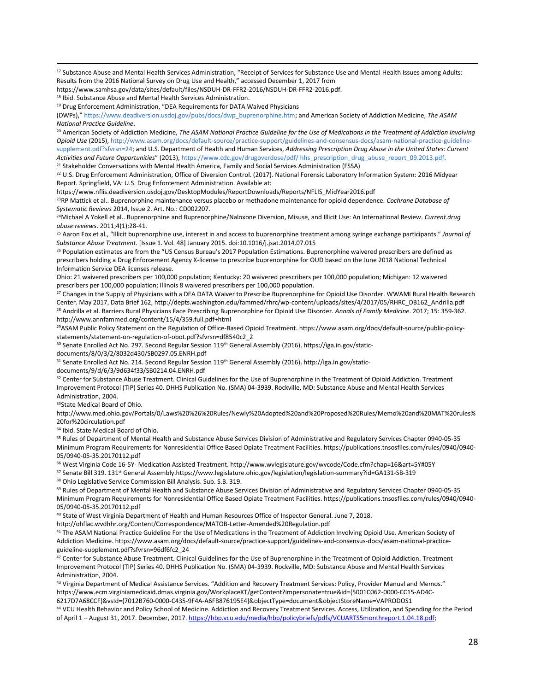<sup>17</sup> Substance Abuse and Mental Health Services Administration, "Receipt of Services for Substance Use and Mental Health Issues among Adults: Results from the 2016 National Survey on Drug Use and Health," accessed December 1, 2017 from

https://www.samhsa.gov/data/sites/default/files/NSDUH-DR-FFR2-2016/NSDUH-DR-FFR2-2016.pdf.

<sup>18</sup> Ibid. Substance Abuse and Mental Health Services Administration.

1

(DWPs)," [https://www.deadiversion.usdoj.gov/pubs/docs/dwp\\_buprenorphine.htm;](https://www.deadiversion.usdoj.gov/pubs/docs/dwp_buprenorphine.htm) and American Society of Addiction Medicine, *The ASAM National Practice Guideline*.

<sup>20</sup> American Society of Addiction Medicine, *The ASAM National Practice Guideline for the Use of Medications in the Treatment of Addiction Involving Opioid Use* (2015), [http://www.asam.org/docs/default-source/practice-support/guidelines-and-consensus-docs/asam-national-practice-guideline](http://www.asam.org/docs/default-source/practice-support/guidelines-and-consensus-docs/asam-national-practice-guideline-supplement.pdf?sfvrsn=24)[supplement.pdf?sfvrsn=24;](http://www.asam.org/docs/default-source/practice-support/guidelines-and-consensus-docs/asam-national-practice-guideline-supplement.pdf?sfvrsn=24) and U.S. Department of Health and Human Services, *Addressing Prescription Drug Abuse in the United States: Current Activities and Future Opportunities*" (2013), [https://www.cdc.gov/drugoverdose/pdf/ hhs\\_prescription\\_drug\\_abuse\\_report\\_09.2013.pdf.](https://www.cdc.gov/drugoverdose/pdf/hhs_prescription_drug_abuse_report_09.2013.pdf) <sup>21</sup> Stakeholder Conversations with Mental Health America, Family and Social Services Administration (FSSA)

<sup>22</sup> U.S. Drug Enforcement Administration, Office of Diversion Control. (2017). National Forensic Laboratory Information System: 2016 Midyear Report. Springfield, VA: U.S. Drug Enforcement Administration. Available at:

https://www.nflis.deadiversion.usdoj.gov/DesktopModules/ReportDownloads/Reports/NFLIS\_MidYear2016.pdf

<sup>23</sup>RP Mattick et al.. Buprenorphine maintenance versus placebo or methadone maintenance for opioid dependence. *Cochrane Database of Systematic Reviews* 2014, Issue 2. Art. No.: CD002207.

<sup>24</sup>Michael A Yokell et al.. Buprenorphine and Buprenorphine/Naloxone Diversion, Misuse, and Illicit Use: An International Review. *Current drug abuse reviews*. 2011;4(1):28-41.

<sup>25</sup> Aaron Fox et al., "Illicit buprenorphine use, interest in and access to buprenorphine treatment among syringe exchange participants." *Journal of Substance Abuse Treatment*. [Issue 1. Vol. 48] January 2015. doi:10.1016/j.jsat.2014.07.015

<sup>26</sup> Population estimates are from the "US Census Bureau's 2017 Population Estimations. Buprenorphine waivered prescribers are defined as prescribers holding a Drug Enforcement Agency X-license to prescribe buprenorphine for OUD based on the June 2018 National Technical Information Service DEA licenses release.

Ohio: 21 waivered prescribers per 100,000 population; Kentucky: 20 waivered prescribers per 100,000 population; Michigan: 12 waivered prescribers per 100,000 population; Illinois 8 waivered prescribers per 100,000 population.

<sup>27</sup> Changes in the Supply of Physicians with a DEA DATA Waiver to Prescribe Buprenorphine for Opioid Use Disorder. WWAMI Rural Health Research Center. May 2017, Data Brief 162, http://depts.washington.edu/fammed/rhrc/wp-content/uploads/sites/4/2017/05/RHRC\_DB162\_Andrilla.pdf <sup>28</sup> Andrilla et al. Barriers Rural Physicians Face Prescribing Buprenorphine for Opioid Use Disorder. *Annals of Family Medicine*. 2017; 15: 359-362. http://www.annfammed.org/content/15/4/359.full.pdf+html

<sup>29</sup>ASAM Public Policy Statement on the Regulation of Office-Based Opioid Treatment. https://www.asam.org/docs/default-source/public-policystatements/statement-on-regulation-of-obot.pdf?sfvrsn=df8540c2\_2

<sup>30</sup> Senate Enrolled Act No. 297. Second Regular Session 119<sup>th</sup> General Assembly (2016). https://iga.in.gov/static-

documents/8/0/3/2/8032d430/SB0297.05.ENRH.pdf

31 Senate Enrolled Act No. 214. Second Regular Session 119<sup>th</sup> General Assembly (2016). http://iga.in.gov/static-

documents/9/d/6/3/9d634f33/SB0214.04.ENRH.pdf

32 Center for Substance Abuse Treatment. Clinical Guidelines for the Use of Buprenorphine in the Treatment of Opioid Addiction. Treatment Improvement Protocol (TIP) Series 40. DHHS Publication No. (SMA) 04-3939. Rockville, MD: Substance Abuse and Mental Health Services Administration, 2004.

33State Medical Board of Ohio.

http://www.med.ohio.gov/Portals/0/Laws%20%26%20Rules/Newly%20Adopted%20and%20Proposed%20Rules/Memo%20and%20MAT%20rules% 20for%20circulation.pdf

<sup>34</sup> Ibid. State Medical Board of Ohio.

<sup>35</sup> Rules of Department of Mental Health and Substance Abuse Services Division of Administrative and Regulatory Services Chapter 0940-05-35 Minimum Program Requirements for Nonresidential Office Based Opiate Treatment Facilities. https://publications.tnsosfiles.com/rules/0940/0940- 05/0940-05-35.20170112.pdf

<sup>36</sup> West Virginia Code 16-5Y- Medication Assisted Treatment. http://www.wvlegislature.gov/wvcode/Code.cfm?chap=16&art=5Y#05Y

37 Senate Bill 319. 131<sup>st</sup> General Assembly.https://www.legislature.ohio.gov/legislation/legislation-summary?id=GA131-SB-319

<sup>38</sup> Ohio Legislative Service Commission Bill Analysis. Sub. S.B. 319.

<sup>39</sup> Rules of Department of Mental Health and Substance Abuse Services Division of Administrative and Regulatory Services Chapter 0940-05-35 Minimum Program Requirements for Nonresidential Office Based Opiate Treatment Facilities. https://publications.tnsosfiles.com/rules/0940/0940- 05/0940-05-35.20170112.pdf

<sup>40</sup> State of West Virginia Department of Health and Human Resources Office of Inspector General. June 7, 2018.

http://ohflac.wvdhhr.org/Content/Correspondence/MATOB-Letter-Amended%20Regulation.pdf

<sup>41</sup> The ASAM National Practice Guideline For the Use of Medications in the Treatment of Addiction Involving Opioid Use. American Society of Addiction Medicine. https://www.asam.org/docs/default-source/practice-support/guidelines-and-consensus-docs/asam-national-practiceguideline-supplement.pdf?sfvrsn=96df6fc2\_24

<sup>42</sup> Center for Substance Abuse Treatment. Clinical Guidelines for the Use of Buprenorphine in the Treatment of Opioid Addiction. Treatment Improvement Protocol (TIP) Series 40. DHHS Publication No. (SMA) 04-3939. Rockville, MD: Substance Abuse and Mental Health Services Administration, 2004.

43 Virginia Department of Medical Assistance Services. "Addition and Recovery Treatment Services: Policy, Provider Manual and Memos." https://www.ecm.virginiamedicaid.dmas.virginia.gov/WorkplaceXT/getContent?impersonate=true&id={5001C062-0000-CC15-AD4C-6217D7A68CCF}&vsId={7012B760-0000-C435-9F4A-A6FB876195E4}&objectType=document&objectStoreName=VAPRODOS1

<sup>44</sup> VCU Health Behavior and Policy School of Medicine. Addiction and Recovery Treatment Services. Access, Utilization, and Spending for the Period of April 1 - August 31, 2017. December, 2017[. https://hbp.vcu.edu/media/hbp/policybriefs/pdfs/VCUARTS5monthreport.1.04.18.pdf;](https://hbp.vcu.edu/media/hbp/policybriefs/pdfs/VCUARTS5monthreport.1.04.18.pdf)

<sup>&</sup>lt;sup>19</sup> Drug Enforcement Administration, "DEA Requirements for DATA Waived Physicians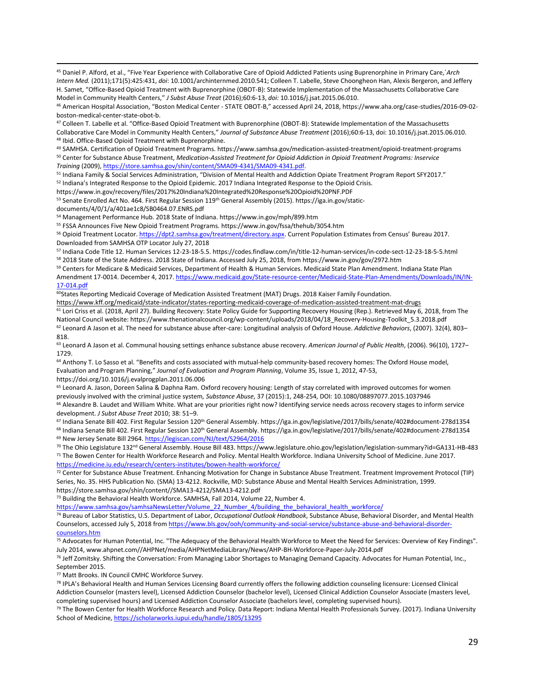<sup>45</sup> Daniel P. Alford, et al., "Five Year Experience with Collaborative Care of Opioid Addicted Patients using Buprenorphine in Primary Care,´*Arch Intern Med.* (2011);171(5):425:431, *doi*: 10.1001/archinternmed.2010.541; Colleen T. Labelle, Steve Choongheon Han, Alexis Bergeron, and Jeffery H. Samet, "Office-Based Opioid Treatment with Buprenorphine (OBOT-B): Statewide Implementation of the Massachusetts Collaborative Care Model in Community Health Centers," *J Subst Abuse Treat* (2016);60:6-13, *doi:* 10.1016/j.jsat.2015.06.010.

<sup>46</sup> American Hospital Association, "Boston Medical Center - STATE OBOT-B," accessed April 24, 2018, https://www.aha.org/case-studies/2016-09-02 boston-medical-center-state-obot-b.

<sup>47</sup> Colleen T. Labelle et al. "Office-Based Opioid Treatment with Buprenorphine (OBOT-B): Statewide Implementation of the Massachusetts Collaborative Care Model in Community Health Centers," *Journal of Substance Abuse Treatment* (2016);60:6-13, doi: 10.1016/j.jsat.2015.06.010. <sup>48</sup> Ibid. Office-Based Opioid Treatment with Buprenorphine.

<sup>49</sup> SAMHSA. Certification of Opioid Treatment Programs. https://www.samhsa.gov/medication-assisted-treatment/opioid-treatment-programs <sup>50</sup> Center for Substance Abuse Treatment, *Medication-Assisted Treatment for Opioid Addiction in Opioid Treatment Programs: Inservice Training* (2009), [https://store.samhsa.gov/shin/content/SMA09-4341/SMA09-4341.pdf.](https://store.samhsa.gov/shin/content/SMA09-4341/SMA09-4341.pdf)

51 Indiana Family & Social Services Administration, "Division of Mental Health and Addiction Opiate Treatment Program Report SFY2017."

<sup>52</sup> Indiana's Integrated Response to the Opioid Epidemic. 2017 Indiana Integrated Response to the Opioid Crisis.

https://www.in.gov/recovery/files/2017%20Indiana%20Integrated%20Response%20Opioid%20PNF.PDF

53 Senate Enrolled Act No. 464. First Regular Session 119<sup>th</sup> General Assembly (2015). https://iga.in.gov/static-

documents/4/0/1/a/401ae1c8/SB0464.07.ENRS.pdf

1

<sup>54</sup> Management Performance Hub. 2018 State of Indiana. https://www.in.gov/mph/899.htm

<sup>55</sup> FSSA Announces Five New Opioid Treatment Programs. https://www.in.gov/fssa/thehub/3054.htm

<sup>56</sup> Opioid Treatment Locator[. https://dpt2.samhsa.gov/treatment/directory.aspx](https://dpt2.samhsa.gov/treatment/directory.aspx). Current Population Estimates from Census' Bureau 2017. Downloaded from SAMHSA OTP Locator July 27, 2018

<sup>57</sup> Indiana Code Title 12. Human Services 12-23-18-5.5. https://codes.findlaw.com/in/title-12-human-services/in-code-sect-12-23-18-5-5.html <sup>58</sup> 2018 State of the State Address. 2018 State of Indiana. Accessed July 25, 2018, from https://www.in.gov/gov/2972.htm

<sup>59</sup> Centers for Medicare & Medicaid Services, Department of Health & Human Services. Medicaid State Plan Amendment. Indiana State Plan Amendment 17-0014. December 4, 2017[. https://www.medicaid.gov/State-resource-center/Medicaid-State-Plan-Amendments/Downloads/IN/IN-](https://www.medicaid.gov/State-resource-center/Medicaid-State-Plan-Amendments/Downloads/IN/IN-17-014.pdf)[17-014.pdf](https://www.medicaid.gov/State-resource-center/Medicaid-State-Plan-Amendments/Downloads/IN/IN-17-014.pdf)

<sup>60</sup>States Reporting Medicaid Coverage of Medication Assisted Treatment (MAT) Drugs. 2018 Kaiser Family Foundation.

https://www.kff.org/medicaid/state-indicator/states-reporting-medicaid-coverage-of-medication-assisted-treatment-mat-drugs <sup>61</sup> Lori Criss et al. (2018, April 27). Building Recovery: State Policy Guide for Supporting Recovery Housing (Rep.). Retrieved May 6, 2018, from The National Council website: https://www.thenationalcouncil.org/wp-content/uploads/2018/04/18\_Recovery-Housing-Toolkit\_5.3.2018.pdf

<sup>62</sup> Leonard A Jason et al. The need for substance abuse after-care: Longitudinal analysis of Oxford House. *Addictive Behaviors*, (2007). 32(4), 803– 818.

<sup>63</sup> Leonard A Jason et al. Communal housing settings enhance substance abuse recovery. *American Journal of Public Health*, (2006). 96(10), 1727– 1729.

<sup>64</sup> Anthony T. Lo Sasso et al. "Benefits and costs associated with mutual-help community-based recovery homes: The Oxford House model, Evaluation and Program Planning," *Journal of Evaluation and Program Planning*, Volume 35, Issue 1, 2012, 47-53, https://doi.org/10.1016/j.evalprogplan.2011.06.006

<sup>65</sup> Leonard A. Jason, Doreen Salina & Daphna Ram. Oxford recovery housing: Length of stay correlated with improved outcomes for women previously involved with the criminal justice system*, Substance Abuse*, 37 (2015):1, 248-254, DOI: 10.1080/08897077.2015.1037946

 $66$  Alexandre B. Laudet and William White. What are your priorities right now? Identifying service needs across recovery stages to inform service development. *J Subst Abuse Treat* 2010; 38: 51–9.

<sup>67</sup> Indiana Senate Bill 402. First Regular Session 120<sup>th</sup> General Assembly. https://iga.in.gov/legislative/2017/bills/senate/402#document-278d1354 <sup>68</sup> Indiana Senate Bill 402. First Regular Session 120<sup>th</sup> General Assembly. https://iga.in.gov/legislative/2017/bills/senate/402#document-278d1354 <sup>69</sup> New Jersey Senate Bill 2964[. https://legiscan.com/NJ/text/S2964/2016](https://legiscan.com/NJ/text/S2964/2016)

<sup>70</sup> The Ohio Legislature 132nd General Assembly. House Bill 483. https://www.legislature.ohio.gov/legislation/legislation-summary?id=GA131-HB-483 <sup>71</sup> The Bowen Center for Health Workforce Research and Policy. Mental Health Workforce. Indiana University School of Medicine. June 2017.

<https://medicine.iu.edu/research/centers-institutes/bowen-health-workforce/>

72 Center for Substance Abuse Treatment. Enhancing Motivation for Change in Substance Abuse Treatment. Treatment Improvement Protocol (TIP) Series, No. 35. HHS Publication No. (SMA) 13-4212. Rockville, MD: Substance Abuse and Mental Health Services Administration, 1999. https://store.samhsa.gov/shin/content//SMA13-4212/SMA13-4212.pdf

<sup>73</sup> Building the Behavioral Health Workforce. SAMHSA, Fall 2014, Volume 22, Number 4.

[https://www.samhsa.gov/samhsaNewsLetter/Volume\\_22\\_Number\\_4/building\\_the\\_behavioral\\_health\\_workforce/](https://www.samhsa.gov/samhsaNewsLetter/Volume_22_Number_4/building_the_behavioral_health_workforce/)

<sup>74</sup> Bureau of Labor Statistics, U.S. Department of Labor, *Occupational Outlook Handbook*, Substance Abuse, Behavioral Disorder, and Mental Health Counselors, accessed July 5, 2018 from [https://www.bls.gov/ooh/community-and-social-service/substance-abuse-and-behavioral-disorder](https://www.bls.gov/ooh/community-and-social-service/substance-abuse-and-behavioral-disorder-counselors.htm)[counselors.htm](https://www.bls.gov/ooh/community-and-social-service/substance-abuse-and-behavioral-disorder-counselors.htm)

75 Advocates for Human Potential, Inc. "The Adequacy of the Behavioral Health Workforce to Meet the Need for Services: Overview of Key Findings". July 2014, www.ahpnet.com//AHPNet/media/AHPNetMediaLibrary/News/AHP-BH-Workforce-Paper-July-2014.pdf

<sup>76</sup> Jeff Zomitsky. Shifting the Conversation: From Managing Labor Shortages to Managing Demand Capacity. Advocates for Human Potential, Inc., September 2015.

77 Matt Brooks. IN Council CMHC Workforce Survey.

78 IPLA's Behavioral Health and Human Services Licensing Board currently offers the following addiction counseling licensure: Licensed Clinical Addiction Counselor (masters level), Licensed Addiction Counselor (bachelor level), Licensed Clinical Addiction Counselor Associate (masters level, completing supervised hours) and Licensed Addiction Counselor Associate (bachelors level, completing supervised hours).

79 The Bowen Center for Health Workforce Research and Policy. Data Report: Indiana Mental Health Professionals Survey. (2017). Indiana University School of Medicine[, https://scholarworks.iupui.edu/handle/1805/13295](https://scholarworks.iupui.edu/handle/1805/13295)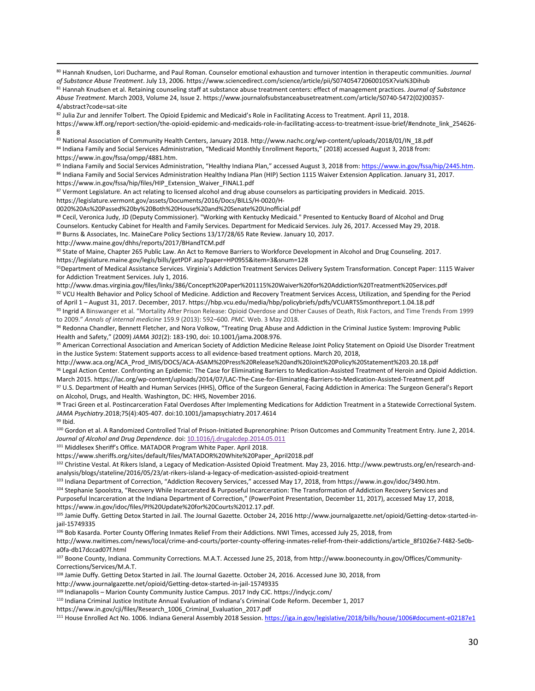<sup>80</sup> Hannah Knudsen, Lori Ducharme, and Paul Roman. Counselor emotional exhaustion and turnover intention in therapeutic communities. *Journal of Substance Abuse Treatment*. July 13, 2006. https://www.sciencedirect.com/science/article/pii/S074054720600105X?via%3Dihub

<sup>81</sup> Hannah Knudsen et al. Retaining counseling staff at substance abuse treatment centers: effect of management practices. *Journal of Substance Abuse Treatment*. March 2003, Volume 24, Issue 2. https://www.journalofsubstanceabusetreatment.com/article/S0740-5472(02)00357- 4/abstract?code=sat-site

82 Julia Zur and Jennifer Tolbert. The Opioid Epidemic and Medicaid's Role in Facilitating Access to Treatment. April 11, 2018. https://www.kff.org/report-section/the-opioid-epidemic-and-medicaids-role-in-facilitating-access-to-treatment-issue-brief/#endnote\_link\_254626- 8

83 National Association of Community Health Centers, January 2018. http://www.nachc.org/wp-content/uploads/2018/01/IN\_18.pdf 84 Indiana Family and Social Services Administration, "Medicaid Monthly Enrollment Reports," (2018) accessed August 3, 2018 from: https://www.in.gov/fssa/ompp/4881.htm.

85 Indiana Family and Social Services Administration, "Healthy Indiana Plan," accessed August 3, 2018 from: https://www.in.gov/fssa/hip/2445.htm. 86 Indiana Family and Social Services Administration Healthy Indiana Plan (HIP) Section 1115 Waiver Extension Application. January 31, 2017. https://www.in.gov/fssa/hip/files/HIP\_Extension\_Waiver\_FINAL1.pdf

87 Vermont Legislature. An act relating to licensed alcohol and drug abuse counselors as participating providers in Medicaid. 2015. https://legislature.vermont.gov/assets/Documents/2016/Docs/BILLS/H-0020/H-

0020%20As%20Passed%20by%20Both%20House%20and%20Senate%20Unofficial.pdf

88 Cecil, Veronica Judy, JD (Deputy Commissioner). "Working with Kentucky Medicaid." Presented to Kentucky Board of Alcohol and Drug Counselors. Kentucky Cabinet for Health and Family Services. Department for Medicaid Services. July 26, 2017. Accessed May 29, 2018. 89 Burns & Associates, Inc. MaineCare Policy Sections 13/17/28/65 Rate Review. January 10, 2017.

http://www.maine.gov/dhhs/reports/2017/BHandTCM.pdf

90 State of Maine, Chapter 265 Public Law. An Act to Remove Barriers to Workforce Development in Alcohol and Drug Counseling. 2017. https://legislature.maine.gov/legis/bills/getPDF.asp?paper=HP0955&item=3&snum=128

91Department of Medical Assistance Services. Virginia's Addiction Treatment Services Delivery System Transformation. Concept Paper: 1115 Waiver for Addiction Treatment Services. July 1, 2016.

http://www.dmas.virginia.gov/files/links/386/Concept%20Paper%201115%20Waiver%20for%20Addiction%20Treatment%20Services.pdf 92 VCU Health Behavior and Policy School of Medicine. Addiction and Recovery Treatment Services Access, Utilization, and Spending for the Period of April 1 – August 31, 2017. December, 2017. https://hbp.vcu.edu/media/hbp/policybriefs/pdfs/VCUARTS5monthreport.1.04.18.pdf

93 Ingrid A Binswanger et al. "Mortality After Prison Release: Opioid Overdose and Other Causes of Death, Risk Factors, and Time Trends From 1999 to 2009." *Annals of internal medicine* 159.9 (2013): 592–600. *PMC*. Web. 3 May 2018.

<sup>94</sup> Redonna Chandler, Bennett Fletcher, and Nora Volkow, "Treating Drug Abuse and Addiction in the Criminal Justice System: Improving Public Health and Safety," (2009) *JAMA 301*(2): 183-190, doi: 10.1001/jama.2008.976.

95 American Correctional Association and American Society of Addiction Medicine Release Joint Policy Statement on Opioid Use Disorder Treatment in the Justice System: Statement supports access to all evidence-based treatment options. March 20, 2018,

http://www.aca.org/ACA\_Prod\_IMIS/DOCS/ACA-ASAM%20Press%20Release%20and%20Joint%20Policy%20Statement%203.20.18.pdf 96 Legal Action Center. Confronting an Epidemic: The Case for Eliminating Barriers to Medication-Assisted Treatment of Heroin and Opioid Addiction. March 2015. https://lac.org/wp-content/uploads/2014/07/LAC-The-Case-for-Eliminating-Barriers-to-Medication-Assisted-Treatment.pdf 97 U.S. Department of Health and Human Services (HHS), Office of the Surgeon General, Facing Addiction in America: The Surgeon General's Report

on Alcohol, Drugs, and Health. Washington, DC: HHS, November 2016. <sup>98</sup> Traci Green et al. Postincarceration Fatal Overdoses After Implementing Medications for Addiction Treatment in a Statewide Correctional System. *JAMA Psychiatry*.2018;75(4):405-407. doi:10.1001/jamapsychiatry.2017.4614

<sup>99</sup> Ibid.

1

100 Gordon et al. A Randomized Controlled Trial of Prison-Initiated Buprenorphine: Prison Outcomes and Community Treatment Entry. June 2, 2014. *Journal of Alcohol and Drug Dependence*. doi[: 10.1016/j.drugalcdep.2014.05.011](https://dx.doi.org/10.1016%2Fj.drugalcdep.2014.05.011)

<sup>101</sup> Middlesex Sheriff's Office. MATADOR Program White Paper. April 2018.

https://www.sheriffs.org/sites/default/files/MATADOR%20White%20Paper\_April2018.pdf

102 Christine Vestal. At Rikers Island, a Legacy of Medication-Assisted Opioid Treatment. May 23, 2016. http://www.pewtrusts.org/en/research-andanalysis/blogs/stateline/2016/05/23/at-rikers-island-a-legacy-of-medication-assisted-opioid-treatment

<sup>103</sup> Indiana Department of Correction, "Addiction Recovery Services," accessed May 17, 2018, from https://www.in.gov/idoc/3490.htm.

104 Stephanie Spoolstra, "Recovery While Incarcerated & Purposeful Incarceration: The Transformation of Addiction Recovery Services and Purposeful Incarceration at the Indiana Department of Correction," (PowerPoint Presentation, December 11, 2017), accessed May 17, 2018, https://www.in.gov/idoc/files/PI%20Update%20for%20Courts%2012.17.pdf.

<sup>105</sup> Jamie Duffy. Getting Detox Started in Jail. The Journal Gazette. October 24, 2016 http://www.journalgazette.net/opioid/Getting-detox-started-injail-15749335

<sup>106</sup> Bob Kasarda. Porter County Offering Inmates Relief From their Addictions. NWI Times, accessed July 25, 2018, from

http://www.nwitimes.com/news/local/crime-and-courts/porter-county-offering-inmates-relief-from-their-addictions/article\_8f1026e7-f482-5e0ba0fa-db17dccad07f.html

<sup>107</sup> Boone County, Indiana. Community Corrections. M.A.T. Accessed June 25, 2018, from http://www.boonecounty.in.gov/Offices/Community-Corrections/Services/M.A.T.

108 Jamie Duffy. Getting Detox Started in Jail. The Journal Gazette. October 24, 2016. Accessed June 30, 2018, from

http://www.journalgazette.net/opioid/Getting-detox-started-in-jail-15749335

<sup>109</sup> Indianapolis – Marion County Community Justice Campus. 2017 Indy CJC. https://indycjc.com/

<sup>110</sup> Indiana Criminal Justice Institute Annual Evaluation of Indiana's Criminal Code Reform. December 1, 2017

https://www.in.gov/cji/files/Research\_1006\_Criminal\_Evaluation\_2017.pdf

<sup>111</sup> House Enrolled Act No. 1006. Indiana General Assembly 2018 Session. <https://iga.in.gov/legislative/2018/bills/house/1006#document-e02187e1>